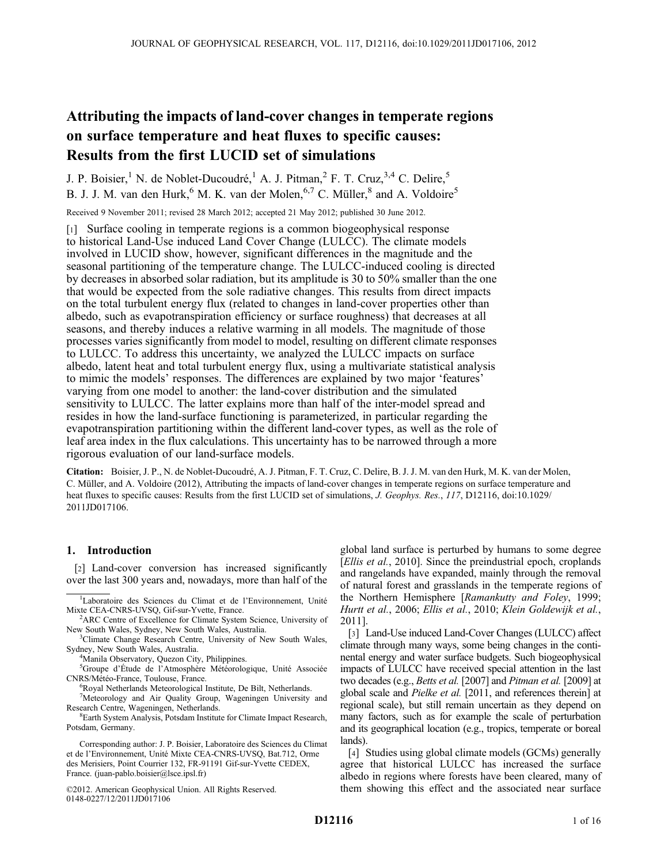# Attributing the impacts of land-cover changes in temperate regions on surface temperature and heat fluxes to specific causes: Results from the first LUCID set of simulations

J. P. Boisier,<sup>1</sup> N. de Noblet-Ducoudré,<sup>1</sup> A. J. Pitman,<sup>2</sup> F. T. Cruz,<sup>3,4</sup> C. Delire,<sup>5</sup> B. J. J. M. van den Hurk, <sup>6</sup> M. K. van der Molen, <sup>6,7</sup> C. Müller,  $^8$  and A. Voldoire<sup>5</sup>

Received 9 November 2011; revised 28 March 2012; accepted 21 May 2012; published 30 June 2012.

[1] Surface cooling in temperate regions is a common biogeophysical response to historical Land-Use induced Land Cover Change (LULCC). The climate models involved in LUCID show, however, significant differences in the magnitude and the seasonal partitioning of the temperature change. The LULCC-induced cooling is directed by decreases in absorbed solar radiation, but its amplitude is 30 to 50% smaller than the one that would be expected from the sole radiative changes. This results from direct impacts on the total turbulent energy flux (related to changes in land-cover properties other than albedo, such as evapotranspiration efficiency or surface roughness) that decreases at all seasons, and thereby induces a relative warming in all models. The magnitude of those processes varies significantly from model to model, resulting on different climate responses to LULCC. To address this uncertainty, we analyzed the LULCC impacts on surface albedo, latent heat and total turbulent energy flux, using a multivariate statistical analysis to mimic the models' responses. The differences are explained by two major 'features' varying from one model to another: the land-cover distribution and the simulated sensitivity to LULCC. The latter explains more than half of the inter-model spread and resides in how the land-surface functioning is parameterized, in particular regarding the evapotranspiration partitioning within the different land-cover types, as well as the role of leaf area index in the flux calculations. This uncertainty has to be narrowed through a more rigorous evaluation of our land-surface models.

Citation: Boisier, J. P., N. de Noblet-Ducoudré, A. J. Pitman, F. T. Cruz, C. Delire, B. J. J. M. van den Hurk, M. K. van der Molen, C. Müller, and A. Voldoire (2012), Attributing the impacts of land-cover changes in temperate regions on surface temperature and heat fluxes to specific causes: Results from the first LUCID set of simulations, *J. Geophys. Res.*, 117, D12116, doi:10.1029/ 2011JD017106.

# 1. Introduction

[2] Land-cover conversion has increased significantly over the last 300 years and, nowadays, more than half of the

<sup>2</sup>ARC Centre of Excellence for Climate System Science, University of New South Wales, Sydney, New South Wales, Australia. <sup>3</sup>

<sup>3</sup>Climate Change Research Centre, University of New South Wales, Sydney, New South Wales, Australia. <sup>4</sup>

<sup>4</sup>Manila Observatory, Quezon City, Philippines.

<sup>5</sup>Groupe d'Étude de l'Atmosphère Météorologique, Unité Associée CNRS/Météo-France, Toulouse, France. <sup>6</sup>

<sup>6</sup>Royal Netherlands Meteorological Institute, De Bilt, Netherlands.

<sup>7</sup>Meteorology and Air Quality Group, Wageningen University and Research Centre, Wageningen, Netherlands. <sup>8</sup>

Earth System Analysis, Potsdam Institute for Climate Impact Research, Potsdam, Germany.

Corresponding author: J. P. Boisier, Laboratoire des Sciences du Climat et de l'Environnement, Unité Mixte CEA-CNRS-UVSQ, Bat.712, Orme des Merisiers, Point Courrier 132, FR-91191 Gif-sur-Yvette CEDEX, France. (juan-pablo.boisier@lsce.ipsl.fr)

©2012. American Geophysical Union. All Rights Reserved. 0148-0227/12/2011JD017106

global land surface is perturbed by humans to some degree [Ellis et al., 2010]. Since the preindustrial epoch, croplands and rangelands have expanded, mainly through the removal of natural forest and grasslands in the temperate regions of the Northern Hemisphere [Ramankutty and Foley, 1999; Hurtt et al., 2006; Ellis et al., 2010; Klein Goldewijk et al., 2011].

[3] Land-Use induced Land-Cover Changes (LULCC) affect climate through many ways, some being changes in the continental energy and water surface budgets. Such biogeophysical impacts of LULCC have received special attention in the last two decades (e.g., *Betts et al.* [2007] and *Pitman et al.* [2009] at global scale and Pielke et al. [2011, and references therein] at regional scale), but still remain uncertain as they depend on many factors, such as for example the scale of perturbation and its geographical location (e.g., tropics, temperate or boreal lands).

[4] Studies using global climate models (GCMs) generally agree that historical LULCC has increased the surface albedo in regions where forests have been cleared, many of them showing this effect and the associated near surface

<sup>&</sup>lt;sup>1</sup>Laboratoire des Sciences du Climat et de l'Environnement, Unité Mixte CEA-CNRS-UVSQ, Gif-sur-Yvette, France. <sup>2</sup>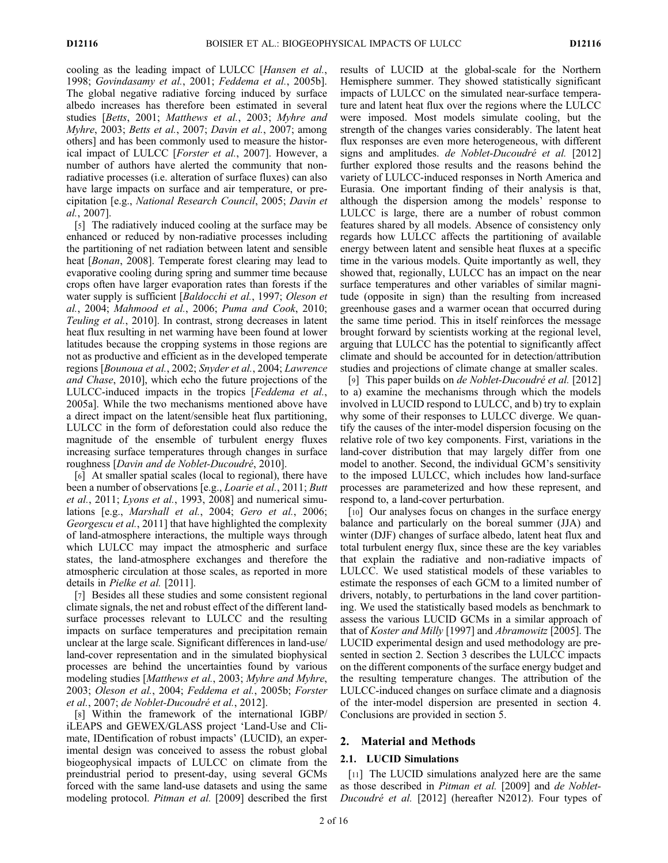cooling as the leading impact of LULCC [Hansen et al., 1998; Govindasamy et al., 2001; Feddema et al., 2005b]. The global negative radiative forcing induced by surface albedo increases has therefore been estimated in several studies [Betts, 2001; Matthews et al., 2003; Myhre and Myhre, 2003; Betts et al., 2007; Davin et al., 2007; among others] and has been commonly used to measure the historical impact of LULCC [Forster et al., 2007]. However, a number of authors have alerted the community that nonradiative processes (i.e. alteration of surface fluxes) can also have large impacts on surface and air temperature, or precipitation [e.g., National Research Council, 2005; Davin et al., 2007].

[5] The radiatively induced cooling at the surface may be enhanced or reduced by non-radiative processes including the partitioning of net radiation between latent and sensible heat *[Bonan, 2008]*. Temperate forest clearing may lead to evaporative cooling during spring and summer time because crops often have larger evaporation rates than forests if the water supply is sufficient [Baldocchi et al., 1997; Oleson et al., 2004; Mahmood et al., 2006; Puma and Cook, 2010; Teuling et al., 2010]. In contrast, strong decreases in latent heat flux resulting in net warming have been found at lower latitudes because the cropping systems in those regions are not as productive and efficient as in the developed temperate regions [Bounoua et al., 2002; Snyder et al., 2004; Lawrence and Chase, 2010], which echo the future projections of the LULCC-induced impacts in the tropics [Feddema et al., 2005a]. While the two mechanisms mentioned above have a direct impact on the latent/sensible heat flux partitioning, LULCC in the form of deforestation could also reduce the magnitude of the ensemble of turbulent energy fluxes increasing surface temperatures through changes in surface roughness [Davin and de Noblet-Ducoudré, 2010].

[6] At smaller spatial scales (local to regional), there have been a number of observations [e.g., *Loarie et al.*, 2011; *Butt* et al., 2011; Lyons et al., 1993, 2008] and numerical simulations [e.g., Marshall et al., 2004; Gero et al., 2006; Georgescu et al., 2011] that have highlighted the complexity of land-atmosphere interactions, the multiple ways through which LULCC may impact the atmospheric and surface states, the land-atmosphere exchanges and therefore the atmospheric circulation at those scales, as reported in more details in Pielke et al. [2011].

[7] Besides all these studies and some consistent regional climate signals, the net and robust effect of the different landsurface processes relevant to LULCC and the resulting impacts on surface temperatures and precipitation remain unclear at the large scale. Significant differences in land-use/ land-cover representation and in the simulated biophysical processes are behind the uncertainties found by various modeling studies [Matthews et al., 2003; Myhre and Myhre, 2003; Oleson et al., 2004; Feddema et al., 2005b; Forster et al., 2007; de Noblet-Ducoudré et al., 2012].

[8] Within the framework of the international IGBP/ iLEAPS and GEWEX/GLASS project 'Land-Use and Climate, IDentification of robust impacts' (LUCID), an experimental design was conceived to assess the robust global biogeophysical impacts of LULCC on climate from the preindustrial period to present-day, using several GCMs forced with the same land-use datasets and using the same modeling protocol. *Pitman et al.* [2009] described the first results of LUCID at the global-scale for the Northern Hemisphere summer. They showed statistically significant impacts of LULCC on the simulated near-surface temperature and latent heat flux over the regions where the LULCC were imposed. Most models simulate cooling, but the strength of the changes varies considerably. The latent heat flux responses are even more heterogeneous, with different signs and amplitudes. de Noblet-Ducoudré et al. [2012] further explored those results and the reasons behind the variety of LULCC-induced responses in North America and Eurasia. One important finding of their analysis is that, although the dispersion among the models' response to LULCC is large, there are a number of robust common features shared by all models. Absence of consistency only regards how LULCC affects the partitioning of available energy between latent and sensible heat fluxes at a specific time in the various models. Quite importantly as well, they showed that, regionally, LULCC has an impact on the near surface temperatures and other variables of similar magnitude (opposite in sign) than the resulting from increased greenhouse gases and a warmer ocean that occurred during the same time period. This in itself reinforces the message brought forward by scientists working at the regional level, arguing that LULCC has the potential to significantly affect climate and should be accounted for in detection/attribution studies and projections of climate change at smaller scales.

[9] This paper builds on *de Noblet-Ducoudré et al.* [2012] to a) examine the mechanisms through which the models involved in LUCID respond to LULCC, and b) try to explain why some of their responses to LULCC diverge. We quantify the causes of the inter-model dispersion focusing on the relative role of two key components. First, variations in the land-cover distribution that may largely differ from one model to another. Second, the individual GCM's sensitivity to the imposed LULCC, which includes how land-surface processes are parameterized and how these represent, and respond to, a land-cover perturbation.

[10] Our analyses focus on changes in the surface energy balance and particularly on the boreal summer (JJA) and winter (DJF) changes of surface albedo, latent heat flux and total turbulent energy flux, since these are the key variables that explain the radiative and non-radiative impacts of LULCC. We used statistical models of these variables to estimate the responses of each GCM to a limited number of drivers, notably, to perturbations in the land cover partitioning. We used the statistically based models as benchmark to assess the various LUCID GCMs in a similar approach of that of Koster and Milly [1997] and Abramowitz [2005]. The LUCID experimental design and used methodology are presented in section 2. Section 3 describes the LULCC impacts on the different components of the surface energy budget and the resulting temperature changes. The attribution of the LULCC-induced changes on surface climate and a diagnosis of the inter-model dispersion are presented in section 4. Conclusions are provided in section 5.

## 2. Material and Methods

#### 2.1. LUCID Simulations

[11] The LUCID simulations analyzed here are the same as those described in Pitman et al. [2009] and de Noblet-Ducoudré et al. [2012] (hereafter N2012). Four types of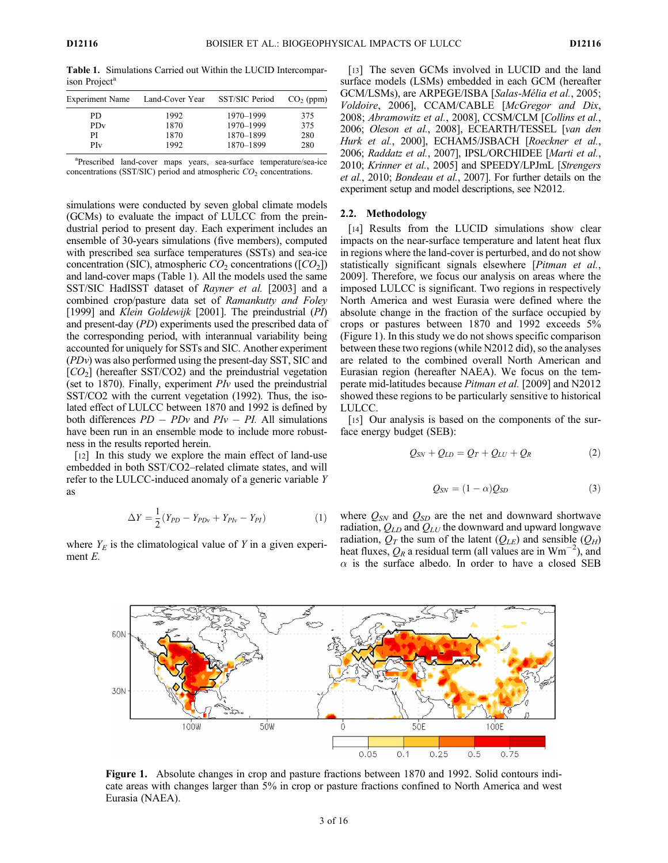Table 1. Simulations Carried out Within the LUCID Intercomparison Project<sup>a</sup>

| <b>Experiment Name</b> | Land-Cover Year | SST/SIC Period | $CO2$ (ppm) |
|------------------------|-----------------|----------------|-------------|
| PD                     | 1992            | 1970-1999      | 375         |
| PD <sub>v</sub>        | 1870            | 1970–1999      | 375         |
| PI                     | 1870            | 1870-1899      | 280         |
| PI <sub>v</sub>        | 1992            | 1870-1899      | 280         |

<sup>a</sup>Prescribed land-cover maps years, sea-surface temperature/sea-ice concentrations (SST/SIC) period and atmospheric  $CO<sub>2</sub>$  concentrations.

simulations were conducted by seven global climate models (GCMs) to evaluate the impact of LULCC from the preindustrial period to present day. Each experiment includes an ensemble of 30-years simulations (five members), computed with prescribed sea surface temperatures (SSTs) and sea-ice concentration (SIC), atmospheric  $CO_2$  concentrations ([ $CO_2$ ]) and land-cover maps (Table 1). All the models used the same SST/SIC HadISST dataset of Rayner et al. [2003] and a combined crop/pasture data set of Ramankutty and Foley [1999] and Klein Goldewijk [2001]. The preindustrial (PI) and present-day (PD) experiments used the prescribed data of the corresponding period, with interannual variability being accounted for uniquely for SSTs and SIC. Another experiment (PDv) was also performed using the present-day SST, SIC and  $[CO<sub>2</sub>]$  (hereafter SST/CO2) and the preindustrial vegetation (set to 1870). Finally, experiment  $Plv$  used the preindustrial SST/CO2 with the current vegetation (1992). Thus, the isolated effect of LULCC between 1870 and 1992 is defined by both differences  $PD - PDv$  and  $PV - PI$ . All simulations have been run in an ensemble mode to include more robustness in the results reported herein.

[12] In this study we explore the main effect of land-use embedded in both SST/CO2–related climate states, and will refer to the LULCC-induced anomaly of a generic variable Y as

$$
\Delta Y = \frac{1}{2} (Y_{PD} - Y_{PDv} + Y_{Phv} - Y_{PI})
$$
 (1)

where  $Y_E$  is the climatological value of Y in a given experiment E.

[13] The seven GCMs involved in LUCID and the land surface models (LSMs) embedded in each GCM (hereafter GCM/LSMs), are ARPEGE/ISBA [Salas-Mélia et al., 2005; Voldoire, 2006], CCAM/CABLE [McGregor and Dix, 2008; Abramowitz et al., 2008], CCSM/CLM [Collins et al., 2006; Oleson et al., 2008], ECEARTH/TESSEL [van den Hurk et al., 2000], ECHAM5/JSBACH [Roeckner et al., 2006; Raddatz et al., 2007], IPSL/ORCHIDEE [Marti et al., 2010; Krinner et al., 2005] and SPEEDY/LPJmL [Strengers et al., 2010; Bondeau et al., 2007]. For further details on the experiment setup and model descriptions, see N2012.

#### 2.2. Methodology

[14] Results from the LUCID simulations show clear impacts on the near-surface temperature and latent heat flux in regions where the land-cover is perturbed, and do not show statistically significant signals elsewhere [*Pitman et al.*, 2009]. Therefore, we focus our analysis on areas where the imposed LULCC is significant. Two regions in respectively North America and west Eurasia were defined where the absolute change in the fraction of the surface occupied by crops or pastures between 1870 and 1992 exceeds 5% (Figure 1). In this study we do not shows specific comparison between these two regions (while N2012 did), so the analyses are related to the combined overall North American and Eurasian region (hereafter NAEA). We focus on the temperate mid-latitudes because Pitman et al. [2009] and N2012 showed these regions to be particularly sensitive to historical LULCC.

[15] Our analysis is based on the components of the surface energy budget (SEB):

$$
Q_{SN} + Q_{LD} = Q_T + Q_{LU} + Q_R \tag{2}
$$

$$
Q_{SN} = (1 - \alpha)Q_{SD} \tag{3}
$$

where  $Q_{SN}$  and  $Q_{SD}$  are the net and downward shortwave radiation,  $Q_{LD}$  and  $Q_{LU}$  the downward and upward longwave radiation,  $Q_T$  the sum of the latent  $(Q_{LE})$  and sensible  $(Q_H)$ heat fluxes,  $Q_R$  a residual term (all values are in  $Wm^{-2}$ ), and  $\alpha$  is the surface albedo. In order to have a closed SEB



Figure 1. Absolute changes in crop and pasture fractions between 1870 and 1992. Solid contours indicate areas with changes larger than 5% in crop or pasture fractions confined to North America and west Eurasia (NAEA).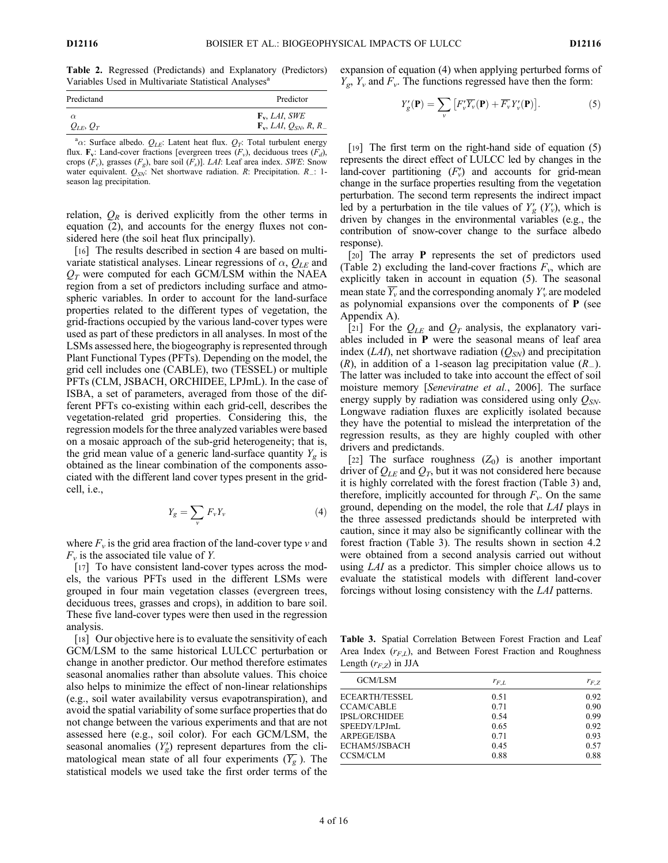Table 2. Regressed (Predictands) and Explanatory (Predictors) Variables Used in Multivariate Statistical Analyses<sup>a</sup>

| Predictand    | Predictor                                                                 |
|---------------|---------------------------------------------------------------------------|
| $\alpha$      | $\mathbf{F}_{\mathbf{v}}, LAI, SWE$                                       |
| $Q_{LE}, Q_T$ | $\mathbf{F}_v$ , <i>LAI</i> , $Q_{SN}$ , <i>R</i> , <i>R</i> <sub>-</sub> |

<sup>a</sup> $\alpha$ : Surface albedo.  $Q_{LE}$ : Latent heat flux.  $Q_T$ : Total turbulent energy flux.  $\mathbf{F}_v$ : Land-cover fractions [evergreen trees  $(F_v)$ , deciduous trees  $(F_d)$ , crops  $(F_c)$ , grasses  $(F_g)$ , bare soil  $(F_s)$ ]. *LAI*: Leaf area index. *SWE*: Snow water equivalent.  $Q_{SN}$ : Net shortwave radiation. R: Precipitation. R .: 1season lag precipitation.

relation,  $Q_R$  is derived explicitly from the other terms in equation (2), and accounts for the energy fluxes not considered here (the soil heat flux principally).

[16] The results described in section 4 are based on multivariate statistical analyses. Linear regressions of  $\alpha$ ,  $Q_{LE}$  and  $Q_T$  were computed for each GCM/LSM within the NAEA region from a set of predictors including surface and atmospheric variables. In order to account for the land-surface properties related to the different types of vegetation, the grid-fractions occupied by the various land-cover types were used as part of these predictors in all analyses. In most of the LSMs assessed here, the biogeography is represented through Plant Functional Types (PFTs). Depending on the model, the grid cell includes one (CABLE), two (TESSEL) or multiple PFTs (CLM, JSBACH, ORCHIDEE, LPJmL). In the case of ISBA, a set of parameters, averaged from those of the different PFTs co-existing within each grid-cell, describes the vegetation-related grid properties. Considering this, the regression models for the three analyzed variables were based on a mosaic approach of the sub-grid heterogeneity; that is, the grid mean value of a generic land-surface quantity  $Y_{\varphi}$  is obtained as the linear combination of the components associated with the different land cover types present in the gridcell, i.e.,

$$
Y_g = \sum_{\nu} F_{\nu} Y_{\nu} \tag{4}
$$

where  $F_v$  is the grid area fraction of the land-cover type v and  $F_v$  is the associated tile value of Y.

[17] To have consistent land-cover types across the models, the various PFTs used in the different LSMs were grouped in four main vegetation classes (evergreen trees, deciduous trees, grasses and crops), in addition to bare soil. These five land-cover types were then used in the regression analysis.

[18] Our objective here is to evaluate the sensitivity of each GCM/LSM to the same historical LULCC perturbation or change in another predictor. Our method therefore estimates seasonal anomalies rather than absolute values. This choice also helps to minimize the effect of non-linear relationships (e.g., soil water availability versus evapotranspiration), and avoid the spatial variability of some surface properties that do not change between the various experiments and that are not assessed here (e.g., soil color). For each GCM/LSM, the seasonal anomalies  $(Y_g)$  represent departures from the climatological mean state of all four experiments  $(\overline{Y_g})$ . The statistical models we used take the first order terms of the expansion of equation (4) when applying perturbed forms of  $Y_{\varrho}$ ,  $Y_{\nu}$  and  $F_{\nu}$ . The functions regressed have then the form:

$$
Y'_{g}(\mathbf{P}) = \sum_{v} \left[ F'_{v} \overline{Y_{v}}(\mathbf{P}) + \overline{F_{v}} Y'_{v}(\mathbf{P}) \right]. \tag{5}
$$

[19] The first term on the right-hand side of equation (5) represents the direct effect of LULCC led by changes in the land-cover partitioning  $(F_v)$  and accounts for grid-mean change in the surface properties resulting from the vegetation perturbation. The second term represents the indirect impact led by a perturbation in the tile values of  $Y_g'(Y_v)$ , which is driven by changes in the environmental variables (e.g., the contribution of snow-cover change to the surface albedo response).

[20] The array P represents the set of predictors used (Table 2) excluding the land-cover fractions  $F_v$ , which are explicitly taken in account in equation (5). The seasonal mean state  $\overline{Y_v}$  and the corresponding anomaly  $Y_v$  are modeled as polynomial expansions over the components of P (see Appendix A).

[21] For the  $Q_{LE}$  and  $Q_T$  analysis, the explanatory variables included in P were the seasonal means of leaf area index (LAI), net shortwave radiation ( $Q_{SN}$ ) and precipitation  $(R)$ , in addition of a 1-season lag precipitation value  $(R)$ . The latter was included to take into account the effect of soil moisture memory [Seneviratne et al., 2006]. The surface energy supply by radiation was considered using only  $Q_{SW}$ . Longwave radiation fluxes are explicitly isolated because they have the potential to mislead the interpretation of the regression results, as they are highly coupled with other drivers and predictands.

[22] The surface roughness  $(Z_0)$  is another important driver of  $Q_{LE}$  and  $Q_T$ , but it was not considered here because it is highly correlated with the forest fraction (Table 3) and, therefore, implicitly accounted for through  $F_v$ . On the same ground, depending on the model, the role that LAI plays in the three assessed predictands should be interpreted with caution, since it may also be significantly collinear with the forest fraction (Table 3). The results shown in section 4.2 were obtained from a second analysis carried out without using LAI as a predictor. This simpler choice allows us to evaluate the statistical models with different land-cover forcings without losing consistency with the LAI patterns.

Table 3. Spatial Correlation Between Forest Fraction and Leaf Area Index  $(r_{FL})$ , and Between Forest Fraction and Roughness Length  $(r_{F,Z})$  in JJA

| GCM/LSM               | $r_{F.L}$ | $r_{F,Z}$ |  |
|-----------------------|-----------|-----------|--|
| <b>ECEARTH/TESSEL</b> | 0.51      | 0.92      |  |
| <b>CCAM/CABLE</b>     | 0.71      | 0.90      |  |
| <b>IPSL/ORCHIDEE</b>  | 0.54      | 0.99      |  |
| SPEEDY/LPJmL          | 0.65      | 0.92      |  |
| <b>ARPEGE/ISBA</b>    | 0.71      | 0.93      |  |
| ECHAM5/JSBACH         | 0.45      | 0.57      |  |
| <b>CCSM/CLM</b>       | 0.88      | 0.88      |  |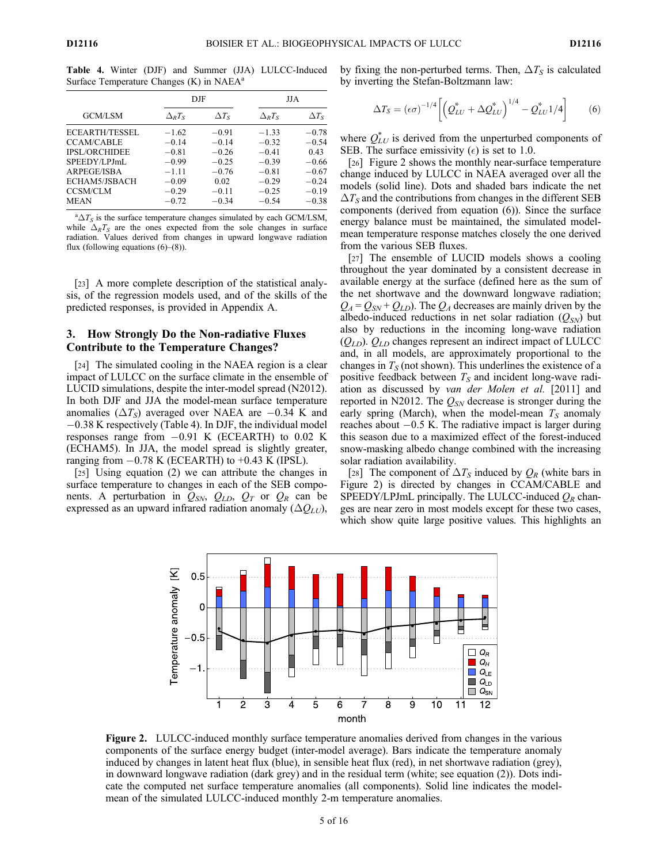Table 4. Winter (DJF) and Summer (JJA) LULCC-Induced Surface Temperature Changes (K) in NAEA<sup>a</sup>

|                       |                | D.JF         |                | JJA.         |
|-----------------------|----------------|--------------|----------------|--------------|
| <b>GCM/LSM</b>        | $\Delta_R T_S$ | $\Delta T_S$ | $\Delta_R T_S$ | $\Delta T_S$ |
| <b>ECEARTH/TESSEL</b> | $-1.62$        | $-0.91$      | $-1.33$        | $-0.78$      |
| <b>CCAM/CABLE</b>     | $-0.14$        | $-0.14$      | $-0.32$        | $-0.54$      |
| <b>IPSL/ORCHIDEE</b>  | $-0.81$        | $-0.26$      | $-0.41$        | 0.43         |
| SPEEDY/LPJmL          | $-0.99$        | $-0.25$      | $-0.39$        | $-0.66$      |
| ARPEGE/ISBA           | $-1.11$        | $-0.76$      | $-0.81$        | $-0.67$      |
| ECHAM5/JSBACH         | $-0.09$        | 0.02         | $-0.29$        | $-0.24$      |
| <b>CCSM/CLM</b>       | $-0.29$        | $-0.11$      | $-0.25$        | $-0.19$      |
| <b>MEAN</b>           | $-0.72$        | $-0.34$      | $-0.54$        | $-0.38$      |

 ${}^{\rm a}\Delta T_S$  is the surface temperature changes simulated by each GCM/LSM, while  $\Delta_R T_S$  are the ones expected from the sole changes in surface radiation. Values derived from changes in upward longwave radiation flux (following equations  $(6)$ – $(8)$ ).

[23] A more complete description of the statistical analysis, of the regression models used, and of the skills of the predicted responses, is provided in Appendix A.

# 3. How Strongly Do the Non-radiative Fluxes Contribute to the Temperature Changes?

[24] The simulated cooling in the NAEA region is a clear impact of LULCC on the surface climate in the ensemble of LUCID simulations, despite the inter-model spread (N2012). In both DJF and JJA the model-mean surface temperature anomalies ( $\Delta T_S$ ) averaged over NAEA are -0.34 K and 0.38 K respectively (Table 4). In DJF, the individual model responses range from  $-0.91$  K (ECEARTH) to 0.02 K (ECHAM5). In JJA, the model spread is slightly greater, ranging from  $-0.78$  K (ECEARTH) to  $+0.43$  K (IPSL).

[25] Using equation (2) we can attribute the changes in surface temperature to changes in each of the SEB components. A perturbation in  $Q_{SN}$ ,  $Q_{LD}$ ,  $Q_T$  or  $Q_R$  can be expressed as an upward infrared radiation anomaly  $(\Delta Q_{LU})$ , by fixing the non-perturbed terms. Then,  $\Delta T_S$  is calculated by inverting the Stefan-Boltzmann law:

$$
\Delta T_S = (\epsilon \sigma)^{-1/4} \left[ \left( Q_{LU}^* + \Delta Q_{LU}^* \right)^{1/4} - Q_{LU}^* 1/4 \right] \tag{6}
$$

where  $Q_{LU}^*$  is derived from the unperturbed components of SEB. The surface emissivity  $(\epsilon)$  is set to 1.0.

[26] Figure 2 shows the monthly near-surface temperature change induced by LULCC in NAEA averaged over all the models (solid line). Dots and shaded bars indicate the net  $\Delta T_S$  and the contributions from changes in the different SEB components (derived from equation (6)). Since the surface energy balance must be maintained, the simulated modelmean temperature response matches closely the one derived from the various SEB fluxes.

[27] The ensemble of LUCID models shows a cooling throughout the year dominated by a consistent decrease in available energy at the surface (defined here as the sum of the net shortwave and the downward longwave radiation;  $Q_A = Q_{SN} + Q_{LD}$ . The  $Q_A$  decreases are mainly driven by the albedo-induced reductions in net solar radiation  $(Q_{SN})$  but also by reductions in the incoming long-wave radiation  $(Q_{LD})$ .  $Q_{LD}$  changes represent an indirect impact of LULCC and, in all models, are approximately proportional to the changes in  $T<sub>S</sub>$  (not shown). This underlines the existence of a positive feedback between  $T<sub>S</sub>$  and incident long-wave radiation as discussed by van der Molen et al. [2011] and reported in N2012. The  $Q_{SN}$  decrease is stronger during the early spring (March), when the model-mean  $T<sub>S</sub>$  anomaly reaches about  $-0.5$  K. The radiative impact is larger during this season due to a maximized effect of the forest-induced snow-masking albedo change combined with the increasing solar radiation availability.

[28] The component of  $\Delta T_S$  induced by  $Q_R$  (white bars in Figure 2) is directed by changes in CCAM/CABLE and SPEEDY/LPJmL principally. The LULCC-induced  $Q_R$  changes are near zero in most models except for these two cases, which show quite large positive values. This highlights an



Figure 2. LULCC-induced monthly surface temperature anomalies derived from changes in the various components of the surface energy budget (inter-model average). Bars indicate the temperature anomaly induced by changes in latent heat flux (blue), in sensible heat flux (red), in net shortwave radiation (grey), in downward longwave radiation (dark grey) and in the residual term (white; see equation (2)). Dots indicate the computed net surface temperature anomalies (all components). Solid line indicates the modelmean of the simulated LULCC-induced monthly 2-m temperature anomalies.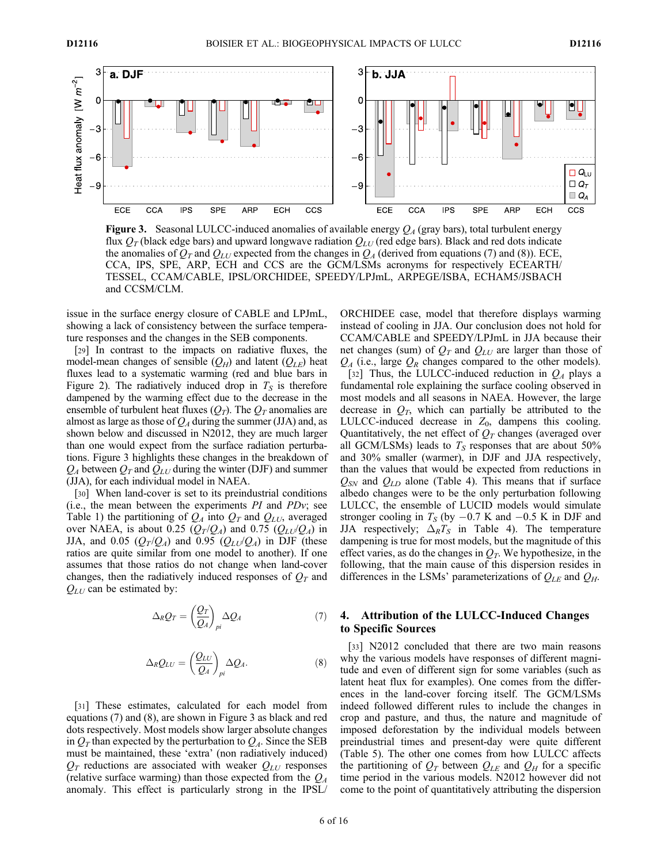

**Figure 3.** Seasonal LULCC-induced anomalies of available energy  $O<sub>A</sub>$  (gray bars), total turbulent energy flux  $Q_T$  (black edge bars) and upward longwave radiation  $Q_{LU}$  (red edge bars). Black and red dots indicate the anomalies of  $Q_T$  and  $Q_{LU}$  expected from the changes in  $Q_A$  (derived from equations (7) and (8)). ECE, CCA, IPS, SPE, ARP, ECH and CCS are the GCM/LSMs acronyms for respectively ECEARTH/ TESSEL, CCAM/CABLE, IPSL/ORCHIDEE, SPEEDY/LPJmL, ARPEGE/ISBA, ECHAM5/JSBACH and CCSM/CLM.

issue in the surface energy closure of CABLE and LPJmL, showing a lack of consistency between the surface temperature responses and the changes in the SEB components.

[29] In contrast to the impacts on radiative fluxes, the model-mean changes of sensible  $(Q_H)$  and latent  $(Q_{LE})$  heat fluxes lead to a systematic warming (red and blue bars in Figure 2). The radiatively induced drop in  $T<sub>S</sub>$  is therefore dampened by the warming effect due to the decrease in the ensemble of turbulent heat fluxes  $(Q_T)$ . The  $Q_T$  anomalies are almost as large as those of  $Q<sub>A</sub>$  during the summer (JJA) and, as shown below and discussed in N2012, they are much larger than one would expect from the surface radiation perturbations. Figure 3 highlights these changes in the breakdown of  $Q_A$  between  $Q_T$  and  $Q_{LU}$  during the winter (DJF) and summer (JJA), for each individual model in NAEA.

[30] When land-cover is set to its preindustrial conditions (i.e., the mean between the experiments  $PI$  and  $PDv$ ; see Table 1) the partitioning of  $Q_A$  into  $Q_T$  and  $Q_{LU}$ , averaged over NAEA, is about 0.25  $(Q_T/Q_A)$  and 0.75  $(Q_{LU}/Q_A)$  in JJA, and 0.05  $(Q_T/Q_A)$  and 0.95  $(Q_{LU}/Q_A)$  in DJF (these ratios are quite similar from one model to another). If one assumes that those ratios do not change when land-cover changes, then the radiatively induced responses of  $Q_T$  and  $Q_{LI}$  can be estimated by:

$$
\Delta_R Q_T = \left(\frac{Q_T}{Q_A}\right)_{pi} \Delta Q_A \tag{7}
$$

$$
\Delta_R Q_{LU} = \left(\frac{Q_{LU}}{Q_A}\right)_{pi} \Delta Q_A.
$$
\n(8)

[31] These estimates, calculated for each model from equations (7) and (8), are shown in Figure 3 as black and red dots respectively. Most models show larger absolute changes in  $Q_T$  than expected by the perturbation to  $Q_A$ . Since the SEB must be maintained, these 'extra' (non radiatively induced)  $Q_T$  reductions are associated with weaker  $Q_{LU}$  responses (relative surface warming) than those expected from the  $Q_A$ anomaly. This effect is particularly strong in the IPSL/

ORCHIDEE case, model that therefore displays warming instead of cooling in JJA. Our conclusion does not hold for CCAM/CABLE and SPEEDY/LPJmL in JJA because their net changes (sum) of  $Q_T$  and  $Q_{LU}$  are larger than those of  $Q_A$  (i.e., large  $Q_R$  changes compared to the other models). [32] Thus, the LULCC-induced reduction in  $Q_A$  plays a fundamental role explaining the surface cooling observed in most models and all seasons in NAEA. However, the large decrease in  $Q_T$ , which can partially be attributed to the LULCC-induced decrease in  $Z_0$ , dampens this cooling. Quantitatively, the net effect of  $Q_T$  changes (averaged over all GCM/LSMs) leads to  $T<sub>S</sub>$  responses that are about 50% and 30% smaller (warmer), in DJF and JJA respectively, than the values that would be expected from reductions in  $Q_{SN}$  and  $Q_{LD}$  alone (Table 4). This means that if surface albedo changes were to be the only perturbation following LULCC, the ensemble of LUCID models would simulate stronger cooling in  $T<sub>S</sub>$  (by  $-0.7$  K and  $-0.5$  K in DJF and JJA respectively;  $\Delta_R T_S$  in Table 4). The temperature dampening is true for most models, but the magnitude of this effect varies, as do the changes in  $Q_T$ . We hypothesize, in the following, that the main cause of this dispersion resides in differences in the LSMs' parameterizations of  $Q_{LE}$  and  $Q_H$ .

# 4. Attribution of the LULCC-Induced Changes to Specific Sources

[33] N2012 concluded that there are two main reasons why the various models have responses of different magnitude and even of different sign for some variables (such as latent heat flux for examples). One comes from the differences in the land-cover forcing itself. The GCM/LSMs indeed followed different rules to include the changes in crop and pasture, and thus, the nature and magnitude of imposed deforestation by the individual models between preindustrial times and present-day were quite different (Table 5). The other one comes from how LULCC affects the partitioning of  $Q_T$  between  $Q_{LE}$  and  $Q_H$  for a specific time period in the various models. N2012 however did not come to the point of quantitatively attributing the dispersion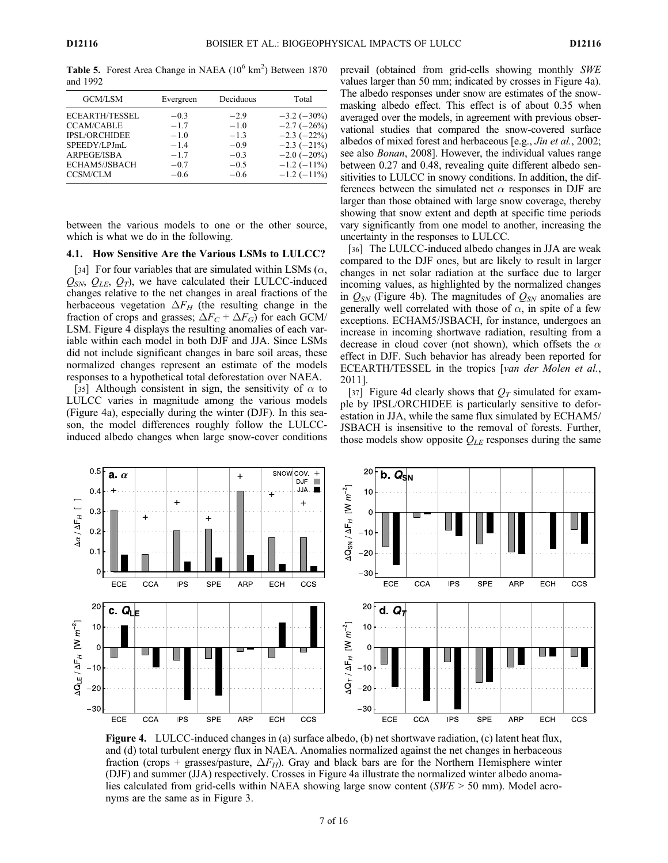Table 5. Forest Area Change in NAEA  $(10^6 \text{ km}^2)$  Between 1870 and 1992

| GCM/LSM                                                                                                     | Evergreen                                                | Deciduous                                                | Total                                                                                                                            |
|-------------------------------------------------------------------------------------------------------------|----------------------------------------------------------|----------------------------------------------------------|----------------------------------------------------------------------------------------------------------------------------------|
| <b>ECEARTH/TESSEL</b><br><b>CCAM/CABLE</b><br>IPSL/ORCHIDEE<br>SPEEDY/LPJmL<br>ARPEGE/ISBA<br>ECHAM5/JSBACH | $-0.3$<br>$-1.7$<br>$-1.0$<br>$-1.4$<br>$-1.7$<br>$-0.7$ | $-2.9$<br>$-1.0$<br>$-1.3$<br>$-0.9$<br>$-0.3$<br>$-0.5$ | $-3.2$ ( $-30\%$ )<br>$-2.7$ ( $-26\%$ )<br>$-2.3$ ( $-22\%$ )<br>$-2.3$ ( $-21\%$ )<br>$-2.0$ ( $-20\%$ )<br>$-1.2$ ( $-11\%$ ) |
| <b>CCSM/CLM</b>                                                                                             | $-0.6$                                                   | $-0.6$                                                   | $-1.2$ ( $-11\%$ )                                                                                                               |

between the various models to one or the other source, which is what we do in the following.

# 4.1. How Sensitive Are the Various LSMs to LULCC?

[34] For four variables that are simulated within LSMs  $(\alpha,$  $Q_{SN}$ ,  $Q_{LE}$ ,  $Q_T$ ), we have calculated their LULCC-induced changes relative to the net changes in areal fractions of the herbaceous vegetation  $\Delta F_H$  (the resulting change in the fraction of crops and grasses;  $\Delta F_C + \Delta F_G$ ) for each GCM/ LSM. Figure 4 displays the resulting anomalies of each variable within each model in both DJF and JJA. Since LSMs did not include significant changes in bare soil areas, these normalized changes represent an estimate of the models responses to a hypothetical total deforestation over NAEA.

[35] Although consistent in sign, the sensitivity of  $\alpha$  to LULCC varies in magnitude among the various models (Figure 4a), especially during the winter (DJF). In this season, the model differences roughly follow the LULCCinduced albedo changes when large snow-cover conditions prevail (obtained from grid-cells showing monthly SWE values larger than 50 mm; indicated by crosses in Figure 4a). The albedo responses under snow are estimates of the snowmasking albedo effect. This effect is of about 0.35 when averaged over the models, in agreement with previous observational studies that compared the snow-covered surface albedos of mixed forest and herbaceous [e.g., Jin et al., 2002; see also Bonan, 2008]. However, the individual values range between 0.27 and 0.48, revealing quite different albedo sensitivities to LULCC in snowy conditions. In addition, the differences between the simulated net  $\alpha$  responses in DJF are larger than those obtained with large snow coverage, thereby showing that snow extent and depth at specific time periods vary significantly from one model to another, increasing the uncertainty in the responses to LULCC.

[36] The LULCC-induced albedo changes in JJA are weak compared to the DJF ones, but are likely to result in larger changes in net solar radiation at the surface due to larger incoming values, as highlighted by the normalized changes in  $Q_{SN}$  (Figure 4b). The magnitudes of  $Q_{SN}$  anomalies are generally well correlated with those of  $\alpha$ , in spite of a few exceptions. ECHAM5/JSBACH, for instance, undergoes an increase in incoming shortwave radiation, resulting from a decrease in cloud cover (not shown), which offsets the  $\alpha$ effect in DJF. Such behavior has already been reported for ECEARTH/TESSEL in the tropics [van der Molen et al., 2011].

[37] Figure 4d clearly shows that  $Q_T$  simulated for example by IPSL/ORCHIDEE is particularly sensitive to deforestation in JJA, while the same flux simulated by ECHAM5/ JSBACH is insensitive to the removal of forests. Further, those models show opposite  $Q_{LE}$  responses during the same



Figure 4. LULCC-induced changes in (a) surface albedo, (b) net shortwave radiation, (c) latent heat flux, and (d) total turbulent energy flux in NAEA. Anomalies normalized against the net changes in herbaceous fraction (crops + grasses/pasture,  $\Delta F_H$ ). Gray and black bars are for the Northern Hemisphere winter (DJF) and summer (JJA) respectively. Crosses in Figure 4a illustrate the normalized winter albedo anomalies calculated from grid-cells within NAEA showing large snow content ( $SWE > 50$  mm). Model acronyms are the same as in Figure 3.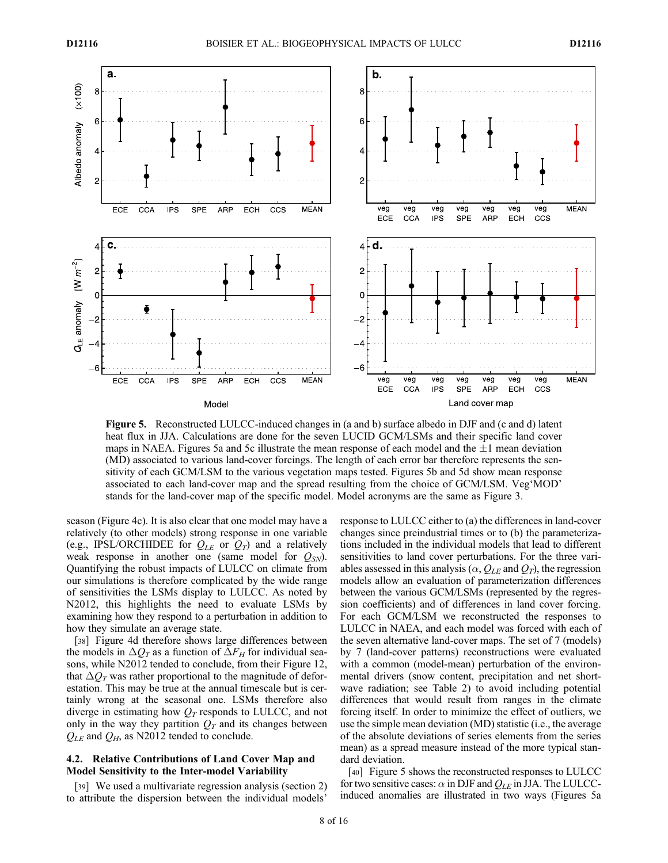

Figure 5. Reconstructed LULCC-induced changes in (a and b) surface albedo in DJF and (c and d) latent heat flux in JJA. Calculations are done for the seven LUCID GCM/LSMs and their specific land cover maps in NAEA. Figures 5a and 5c illustrate the mean response of each model and the  $\pm 1$  mean deviation (MD) associated to various land-cover forcings. The length of each error bar therefore represents the sensitivity of each GCM/LSM to the various vegetation maps tested. Figures 5b and 5d show mean response associated to each land-cover map and the spread resulting from the choice of GCM/LSM. Veg'MOD' stands for the land-cover map of the specific model. Model acronyms are the same as Figure 3.

season (Figure 4c). It is also clear that one model may have a relatively (to other models) strong response in one variable (e.g., IPSL/ORCHIDEE for  $Q_{LE}$  or  $Q_T$ ) and a relatively weak response in another one (same model for  $Q_{SN}$ ). Quantifying the robust impacts of LULCC on climate from our simulations is therefore complicated by the wide range of sensitivities the LSMs display to LULCC. As noted by N2012, this highlights the need to evaluate LSMs by examining how they respond to a perturbation in addition to how they simulate an average state.

[38] Figure 4d therefore shows large differences between the models in  $\Delta Q_T$  as a function of  $\Delta F_H$  for individual seasons, while N2012 tended to conclude, from their Figure 12, that  $\Delta Q_T$  was rather proportional to the magnitude of deforestation. This may be true at the annual timescale but is certainly wrong at the seasonal one. LSMs therefore also diverge in estimating how  $Q_T$  responds to LULCC, and not only in the way they partition  $Q_T$  and its changes between  $Q_{LE}$  and  $Q_H$ , as N2012 tended to conclude.

## 4.2. Relative Contributions of Land Cover Map and Model Sensitivity to the Inter-model Variability

[39] We used a multivariate regression analysis (section 2) to attribute the dispersion between the individual models'

response to LULCC either to (a) the differences in land-cover changes since preindustrial times or to (b) the parameterizations included in the individual models that lead to different sensitivities to land cover perturbations. For the three variables assessed in this analysis ( $\alpha$ ,  $Q_{LE}$  and  $Q_T$ ), the regression models allow an evaluation of parameterization differences between the various GCM/LSMs (represented by the regression coefficients) and of differences in land cover forcing. For each GCM/LSM we reconstructed the responses to LULCC in NAEA, and each model was forced with each of the seven alternative land-cover maps. The set of 7 (models) by 7 (land-cover patterns) reconstructions were evaluated with a common (model-mean) perturbation of the environmental drivers (snow content, precipitation and net shortwave radiation; see Table 2) to avoid including potential differences that would result from ranges in the climate forcing itself. In order to minimize the effect of outliers, we use the simple mean deviation (MD) statistic (i.e., the average of the absolute deviations of series elements from the series mean) as a spread measure instead of the more typical standard deviation.

[40] Figure 5 shows the reconstructed responses to LULCC for two sensitive cases:  $\alpha$  in DJF and  $Q_{LE}$  in JJA. The LULCCinduced anomalies are illustrated in two ways (Figures 5a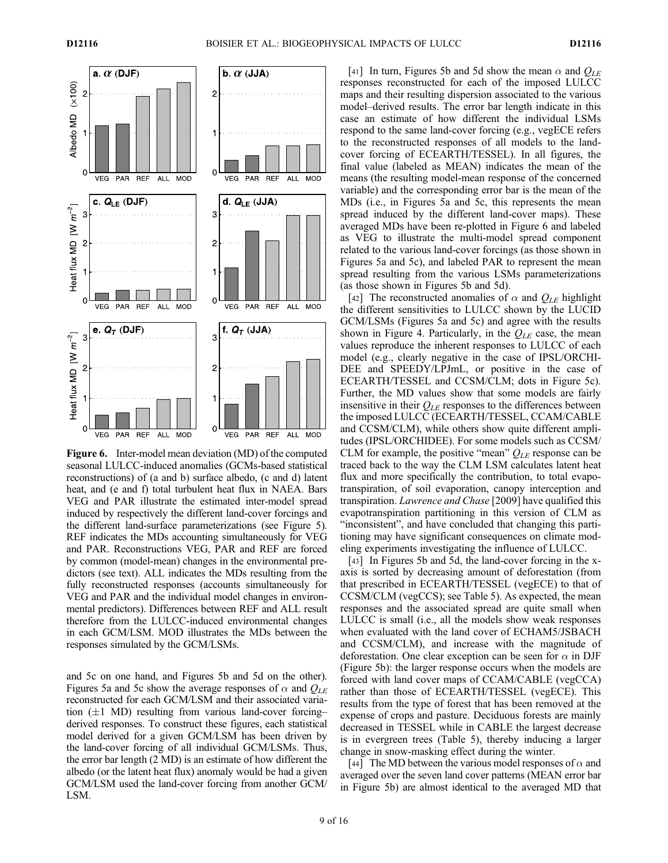

Figure 6. Inter-model mean deviation (MD) of the computed seasonal LULCC-induced anomalies (GCMs-based statistical reconstructions) of (a and b) surface albedo, (c and d) latent heat, and (e and f) total turbulent heat flux in NAEA. Bars VEG and PAR illustrate the estimated inter-model spread induced by respectively the different land-cover forcings and the different land-surface parameterizations (see Figure 5). REF indicates the MDs accounting simultaneously for VEG and PAR. Reconstructions VEG, PAR and REF are forced by common (model-mean) changes in the environmental predictors (see text). ALL indicates the MDs resulting from the fully reconstructed responses (accounts simultaneously for VEG and PAR and the individual model changes in environmental predictors). Differences between REF and ALL result therefore from the LULCC-induced environmental changes in each GCM/LSM. MOD illustrates the MDs between the responses simulated by the GCM/LSMs.

and 5c on one hand, and Figures 5b and 5d on the other). Figures 5a and 5c show the average responses of  $\alpha$  and  $Q_{LE}$ reconstructed for each GCM/LSM and their associated variation  $(\pm 1$  MD) resulting from various land-cover forcing– derived responses. To construct these figures, each statistical model derived for a given GCM/LSM has been driven by the land-cover forcing of all individual GCM/LSMs. Thus, the error bar length (2 MD) is an estimate of how different the albedo (or the latent heat flux) anomaly would be had a given GCM/LSM used the land-cover forcing from another GCM/ LSM.

[41] In turn, Figures 5b and 5d show the mean  $\alpha$  and  $Q_{LE}$ responses reconstructed for each of the imposed LULCC maps and their resulting dispersion associated to the various model–derived results. The error bar length indicate in this case an estimate of how different the individual LSMs respond to the same land-cover forcing (e.g., vegECE refers to the reconstructed responses of all models to the landcover forcing of ECEARTH/TESSEL). In all figures, the final value (labeled as MEAN) indicates the mean of the means (the resulting model-mean response of the concerned variable) and the corresponding error bar is the mean of the MDs (i.e., in Figures 5a and 5c, this represents the mean spread induced by the different land-cover maps). These averaged MDs have been re-plotted in Figure 6 and labeled as VEG to illustrate the multi-model spread component related to the various land-cover forcings (as those shown in Figures 5a and 5c), and labeled PAR to represent the mean spread resulting from the various LSMs parameterizations (as those shown in Figures 5b and 5d).

[42] The reconstructed anomalies of  $\alpha$  and  $Q_{LE}$  highlight the different sensitivities to LULCC shown by the LUCID GCM/LSMs (Figures 5a and 5c) and agree with the results shown in Figure 4. Particularly, in the  $Q_{LE}$  case, the mean values reproduce the inherent responses to LULCC of each model (e.g., clearly negative in the case of IPSL/ORCHI-DEE and SPEEDY/LPJmL, or positive in the case of ECEARTH/TESSEL and CCSM/CLM; dots in Figure 5c). Further, the MD values show that some models are fairly insensitive in their  $Q_{LE}$  responses to the differences between the imposed LULCC (ECEARTH/TESSEL, CCAM/CABLE and CCSM/CLM), while others show quite different amplitudes (IPSL/ORCHIDEE). For some models such as CCSM/ CLM for example, the positive "mean"  $Q_{LE}$  response can be traced back to the way the CLM LSM calculates latent heat flux and more specifically the contribution, to total evapotranspiration, of soil evaporation, canopy interception and transpiration. Lawrence and Chase [2009] have qualified this evapotranspiration partitioning in this version of CLM as "inconsistent", and have concluded that changing this partitioning may have significant consequences on climate modeling experiments investigating the influence of LULCC.

[43] In Figures 5b and 5d, the land-cover forcing in the xaxis is sorted by decreasing amount of deforestation (from that prescribed in ECEARTH/TESSEL (vegECE) to that of CCSM/CLM (vegCCS); see Table 5). As expected, the mean responses and the associated spread are quite small when LULCC is small (i.e., all the models show weak responses when evaluated with the land cover of ECHAM5/JSBACH and CCSM/CLM), and increase with the magnitude of deforestation. One clear exception can be seen for  $\alpha$  in DJF (Figure 5b): the larger response occurs when the models are forced with land cover maps of CCAM/CABLE (vegCCA) rather than those of ECEARTH/TESSEL (vegECE). This results from the type of forest that has been removed at the expense of crops and pasture. Deciduous forests are mainly decreased in TESSEL while in CABLE the largest decrease is in evergreen trees (Table 5), thereby inducing a larger change in snow-masking effect during the winter.

[44] The MD between the various model responses of  $\alpha$  and averaged over the seven land cover patterns (MEAN error bar in Figure 5b) are almost identical to the averaged MD that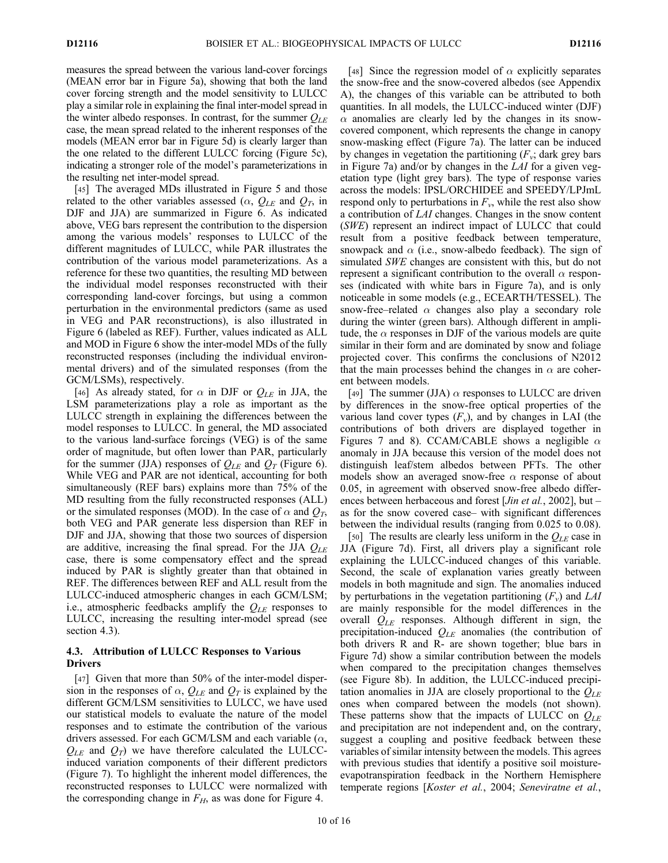measures the spread between the various land-cover forcings (MEAN error bar in Figure 5a), showing that both the land cover forcing strength and the model sensitivity to LULCC play a similar role in explaining the final inter-model spread in the winter albedo responses. In contrast, for the summer  $Q_{LE}$ case, the mean spread related to the inherent responses of the models (MEAN error bar in Figure 5d) is clearly larger than the one related to the different LULCC forcing (Figure 5c), indicating a stronger role of the model's parameterizations in the resulting net inter-model spread.

[45] The averaged MDs illustrated in Figure 5 and those related to the other variables assessed ( $\alpha$ ,  $Q_{LE}$  and  $Q_T$ , in DJF and JJA) are summarized in Figure 6. As indicated above, VEG bars represent the contribution to the dispersion among the various models' responses to LULCC of the different magnitudes of LULCC, while PAR illustrates the contribution of the various model parameterizations. As a reference for these two quantities, the resulting MD between the individual model responses reconstructed with their corresponding land-cover forcings, but using a common perturbation in the environmental predictors (same as used in VEG and PAR reconstructions), is also illustrated in Figure 6 (labeled as REF). Further, values indicated as ALL and MOD in Figure 6 show the inter-model MDs of the fully reconstructed responses (including the individual environmental drivers) and of the simulated responses (from the GCM/LSMs), respectively.

[46] As already stated, for  $\alpha$  in DJF or  $Q_{LE}$  in JJA, the LSM parameterizations play a role as important as the LULCC strength in explaining the differences between the model responses to LULCC. In general, the MD associated to the various land-surface forcings (VEG) is of the same order of magnitude, but often lower than PAR, particularly for the summer (JJA) responses of  $Q_{LE}$  and  $Q_T$  (Figure 6). While VEG and PAR are not identical, accounting for both simultaneously (REF bars) explains more than 75% of the MD resulting from the fully reconstructed responses (ALL) or the simulated responses (MOD). In the case of  $\alpha$  and  $Q_T$ , both VEG and PAR generate less dispersion than REF in DJF and JJA, showing that those two sources of dispersion are additive, increasing the final spread. For the JJA  $Q_{LE}$ case, there is some compensatory effect and the spread induced by PAR is slightly greater than that obtained in REF. The differences between REF and ALL result from the LULCC-induced atmospheric changes in each GCM/LSM; i.e., atmospheric feedbacks amplify the  $Q_{LE}$  responses to LULCC, increasing the resulting inter-model spread (see section 4.3).

## 4.3. Attribution of LULCC Responses to Various Drivers

[47] Given that more than 50% of the inter-model dispersion in the responses of  $\alpha$ ,  $Q_{LE}$  and  $Q_T$  is explained by the different GCM/LSM sensitivities to LULCC, we have used our statistical models to evaluate the nature of the model responses and to estimate the contribution of the various drivers assessed. For each GCM/LSM and each variable  $(\alpha,$  $Q_{LE}$  and  $Q_T$ ) we have therefore calculated the LULCCinduced variation components of their different predictors (Figure 7). To highlight the inherent model differences, the reconstructed responses to LULCC were normalized with the corresponding change in  $F_H$ , as was done for Figure 4.

[48] Since the regression model of  $\alpha$  explicitly separates the snow-free and the snow-covered albedos (see Appendix A), the changes of this variable can be attributed to both quantities. In all models, the LULCC-induced winter (DJF)  $\alpha$  anomalies are clearly led by the changes in its snowcovered component, which represents the change in canopy snow-masking effect (Figure 7a). The latter can be induced by changes in vegetation the partitioning  $(F_v; \text{dark grey bars})$ in Figure 7a) and/or by changes in the LAI for a given vegetation type (light grey bars). The type of response varies across the models: IPSL/ORCHIDEE and SPEEDY/LPJmL respond only to perturbations in  $F_v$ , while the rest also show a contribution of LAI changes. Changes in the snow content (SWE) represent an indirect impact of LULCC that could result from a positive feedback between temperature, snowpack and  $\alpha$  (i.e., snow-albedo feedback). The sign of simulated SWE changes are consistent with this, but do not represent a significant contribution to the overall  $\alpha$  responses (indicated with white bars in Figure 7a), and is only noticeable in some models (e.g., ECEARTH/TESSEL). The snow-free–related  $\alpha$  changes also play a secondary role during the winter (green bars). Although different in amplitude, the  $\alpha$  responses in DJF of the various models are quite similar in their form and are dominated by snow and foliage projected cover. This confirms the conclusions of N2012 that the main processes behind the changes in  $\alpha$  are coherent between models.

[49] The summer (JJA)  $\alpha$  responses to LULCC are driven by differences in the snow-free optical properties of the various land cover types  $(F_v)$ , and by changes in LAI (the contributions of both drivers are displayed together in Figures 7 and 8). CCAM/CABLE shows a negligible  $\alpha$ anomaly in JJA because this version of the model does not distinguish leaf/stem albedos between PFTs. The other models show an averaged snow-free  $\alpha$  response of about 0.05, in agreement with observed snow-free albedo differences between herbaceous and forest [*Jin et al.*, 2002], but – as for the snow covered case– with significant differences between the individual results (ranging from 0.025 to 0.08).

[50] The results are clearly less uniform in the  $Q_{LE}$  case in JJA (Figure 7d). First, all drivers play a significant role explaining the LULCC-induced changes of this variable. Second, the scale of explanation varies greatly between models in both magnitude and sign. The anomalies induced by perturbations in the vegetation partitioning  $(F_v)$  and LAI are mainly responsible for the model differences in the overall  $Q_{LE}$  responses. Although different in sign, the precipitation-induced  $Q_{LE}$  anomalies (the contribution of both drivers R and R- are shown together; blue bars in Figure 7d) show a similar contribution between the models when compared to the precipitation changes themselves (see Figure 8b). In addition, the LULCC-induced precipitation anomalies in JJA are closely proportional to the  $Q_{LE}$ ones when compared between the models (not shown). These patterns show that the impacts of LULCC on  $Q_{LE}$ and precipitation are not independent and, on the contrary, suggest a coupling and positive feedback between these variables of similar intensity between the models. This agrees with previous studies that identify a positive soil moistureevapotranspiration feedback in the Northern Hemisphere temperate regions [Koster et al., 2004; Seneviratne et al.,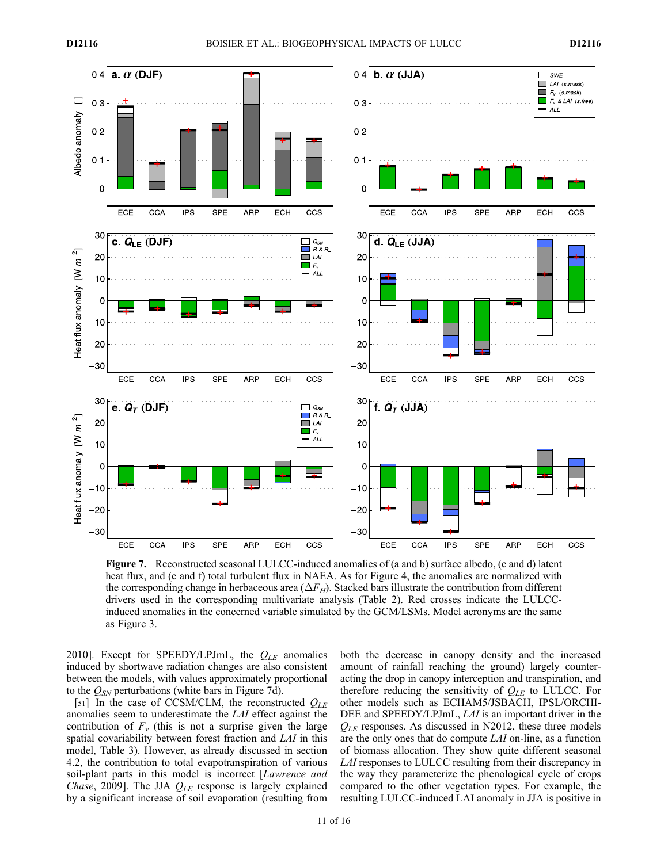

Figure 7. Reconstructed seasonal LULCC-induced anomalies of (a and b) surface albedo, (c and d) latent heat flux, and (e and f) total turbulent flux in NAEA. As for Figure 4, the anomalies are normalized with the corresponding change in herbaceous area ( $\Delta F_H$ ). Stacked bars illustrate the contribution from different drivers used in the corresponding multivariate analysis (Table 2). Red crosses indicate the LULCCinduced anomalies in the concerned variable simulated by the GCM/LSMs. Model acronyms are the same as Figure 3.

2010]. Except for SPEEDY/LPJmL, the  $Q_{LE}$  anomalies induced by shortwave radiation changes are also consistent between the models, with values approximately proportional to the  $Q_{SN}$  perturbations (white bars in Figure 7d).

[51] In the case of CCSM/CLM, the reconstructed  $Q_{LE}$ anomalies seem to underestimate the LAI effect against the contribution of  $F_v$  (this is not a surprise given the large spatial covariability between forest fraction and LAI in this model, Table 3). However, as already discussed in section 4.2, the contribution to total evapotranspiration of various soil-plant parts in this model is incorrect [Lawrence and Chase, 2009]. The JJA  $Q_{LE}$  response is largely explained by a significant increase of soil evaporation (resulting from

both the decrease in canopy density and the increased amount of rainfall reaching the ground) largely counteracting the drop in canopy interception and transpiration, and therefore reducing the sensitivity of  $Q_{LE}$  to LULCC. For other models such as ECHAM5/JSBACH, IPSL/ORCHI-DEE and SPEEDY/LPJmL, LAI is an important driver in the  $Q_{LE}$  responses. As discussed in N2012, these three models are the only ones that do compute LAI on-line, as a function of biomass allocation. They show quite different seasonal LAI responses to LULCC resulting from their discrepancy in the way they parameterize the phenological cycle of crops compared to the other vegetation types. For example, the resulting LULCC-induced LAI anomaly in JJA is positive in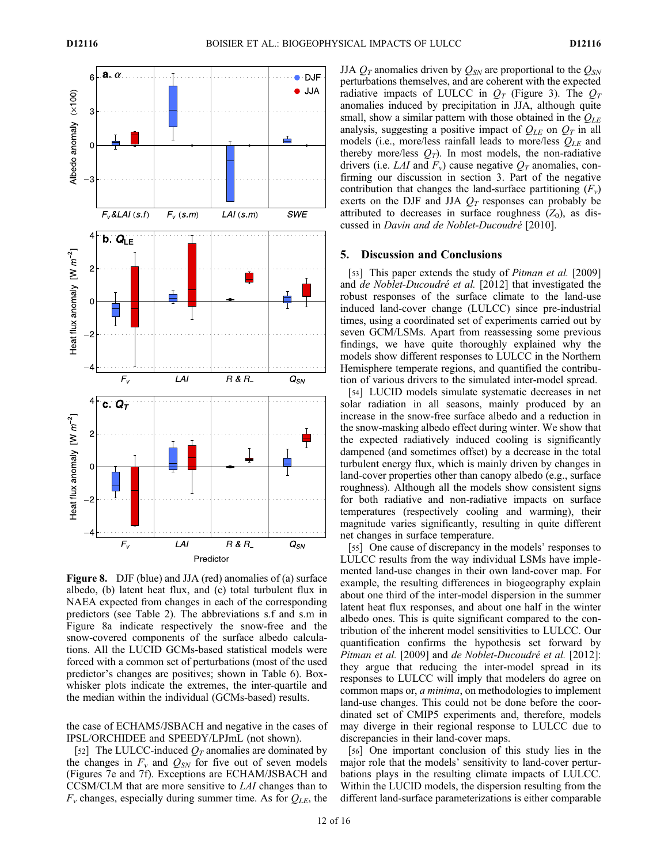

Figure 8. DJF (blue) and JJA (red) anomalies of (a) surface albedo, (b) latent heat flux, and (c) total turbulent flux in NAEA expected from changes in each of the corresponding predictors (see Table 2). The abbreviations s.f and s.m in Figure 8a indicate respectively the snow-free and the snow-covered components of the surface albedo calculations. All the LUCID GCMs-based statistical models were forced with a common set of perturbations (most of the used predictor's changes are positives; shown in Table 6). Boxwhisker plots indicate the extremes, the inter-quartile and the median within the individual (GCMs-based) results.

the case of ECHAM5/JSBACH and negative in the cases of IPSL/ORCHIDEE and SPEEDY/LPJmL (not shown).

[52] The LULCC-induced  $Q_T$  anomalies are dominated by the changes in  $F_v$  and  $Q_{SN}$  for five out of seven models (Figures 7e and 7f). Exceptions are ECHAM/JSBACH and CCSM/CLM that are more sensitive to LAI changes than to  $F_v$  changes, especially during summer time. As for  $Q_{LE}$ , the JJA  $Q_T$  anomalies driven by  $Q_{SN}$  are proportional to the  $Q_{SN}$ perturbations themselves, and are coherent with the expected radiative impacts of LULCC in  $Q_T$  (Figure 3). The  $Q_T$ anomalies induced by precipitation in JJA, although quite small, show a similar pattern with those obtained in the  $Q_{LE}$ analysis, suggesting a positive impact of  $Q_{LE}$  on  $Q_T$  in all models (i.e., more/less rainfall leads to more/less  $Q_{LE}$  and thereby more/less  $Q_T$ ). In most models, the non-radiative drivers (i.e. LAI and  $F_v$ ) cause negative  $Q_T$  anomalies, confirming our discussion in section 3. Part of the negative contribution that changes the land-surface partitioning  $(F_v)$ exerts on the DJF and JJA  $Q_T$  responses can probably be attributed to decreases in surface roughness  $(Z_0)$ , as discussed in Davin and de Noblet-Ducoudré [2010].

#### 5. Discussion and Conclusions

[53] This paper extends the study of *Pitman et al.* [2009] and de Noblet-Ducoudré et al. [2012] that investigated the robust responses of the surface climate to the land-use induced land-cover change (LULCC) since pre-industrial times, using a coordinated set of experiments carried out by seven GCM/LSMs. Apart from reassessing some previous findings, we have quite thoroughly explained why the models show different responses to LULCC in the Northern Hemisphere temperate regions, and quantified the contribution of various drivers to the simulated inter-model spread.

[54] LUCID models simulate systematic decreases in net solar radiation in all seasons, mainly produced by an increase in the snow-free surface albedo and a reduction in the snow-masking albedo effect during winter. We show that the expected radiatively induced cooling is significantly dampened (and sometimes offset) by a decrease in the total turbulent energy flux, which is mainly driven by changes in land-cover properties other than canopy albedo (e.g., surface roughness). Although all the models show consistent signs for both radiative and non-radiative impacts on surface temperatures (respectively cooling and warming), their magnitude varies significantly, resulting in quite different net changes in surface temperature.

[55] One cause of discrepancy in the models' responses to LULCC results from the way individual LSMs have implemented land-use changes in their own land-cover map. For example, the resulting differences in biogeography explain about one third of the inter-model dispersion in the summer latent heat flux responses, and about one half in the winter albedo ones. This is quite significant compared to the contribution of the inherent model sensitivities to LULCC. Our quantification confirms the hypothesis set forward by Pitman et al. [2009] and de Noblet-Ducoudré et al. [2012]: they argue that reducing the inter-model spread in its responses to LULCC will imply that modelers do agree on common maps or, a minima, on methodologies to implement land-use changes. This could not be done before the coordinated set of CMIP5 experiments and, therefore, models may diverge in their regional response to LULCC due to discrepancies in their land-cover maps.

[56] One important conclusion of this study lies in the major role that the models' sensitivity to land-cover perturbations plays in the resulting climate impacts of LULCC. Within the LUCID models, the dispersion resulting from the different land-surface parameterizations is either comparable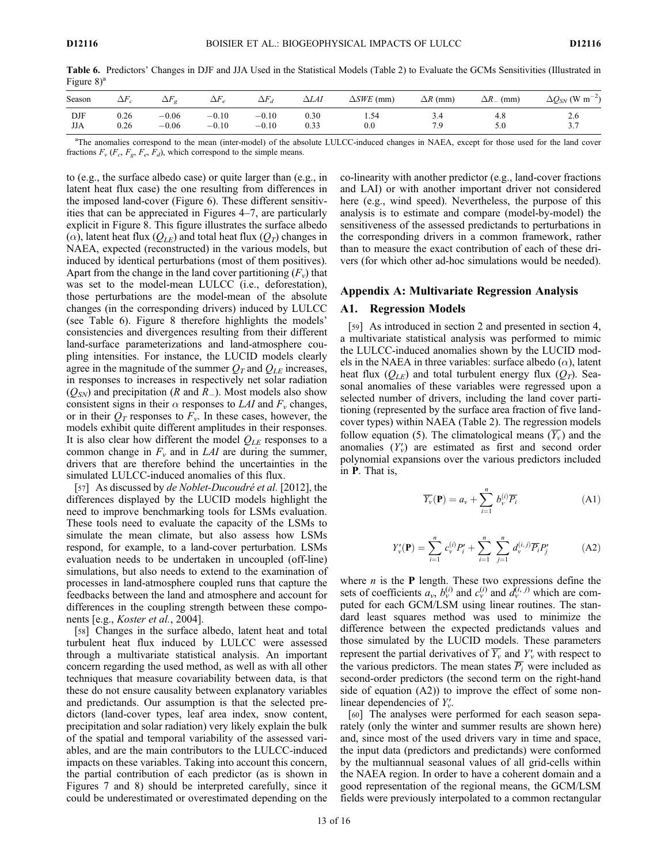Table 6. Predictors' Changes in DJF and JJA Used in the Statistical Models (Table 2) to Evaluate the GCMs Sensitivities (Illustrated in Figure  $8$ <sup>a</sup>

| Season     | $\Delta F$   | $\Delta F$         | $\Delta F$         | $\Delta F_d$       | $\Delta LAI$      | $\triangle SWE$<br>(mm) | $\Delta R$ (mm) | $\Delta R_-$<br>(mm) | $\Delta Q_{SN}$ (W m <sup>-2</sup> ) |
|------------|--------------|--------------------|--------------------|--------------------|-------------------|-------------------------|-----------------|----------------------|--------------------------------------|
| DJF<br>JJA | 0.26<br>0.26 | $-0.06$<br>$-0.06$ | $-0.10$<br>$-0.10$ | $-0.10$<br>$-0.10$ | $_{0.30}$<br>0.33 | 1.54<br>$_{0.0}$        | 3.4<br>7.9      | 4.8<br>J.U           | 2.6<br>$\sim$ $\sim$<br>،            |

<sup>a</sup>The anomalies correspond to the mean (inter-model) of the absolute LULCC-induced changes in NAEA, except for those used for the land cover fractions  $F_v$  ( $F_c$ ,  $F_g$ ,  $F_e$ ,  $F_d$ ), which correspond to the simple means.

to (e.g., the surface albedo case) or quite larger than (e.g., in latent heat flux case) the one resulting from differences in the imposed land-cover (Figure 6). These different sensitivities that can be appreciated in Figures 4–7, are particularly explicit in Figure 8. This figure illustrates the surface albedo  $(\alpha)$ , latent heat flux  $(Q_{LE})$  and total heat flux  $(Q_T)$  changes in NAEA, expected (reconstructed) in the various models, but induced by identical perturbations (most of them positives). Apart from the change in the land cover partitioning  $(F_v)$  that was set to the model-mean LULCC (i.e., deforestation), those perturbations are the model-mean of the absolute changes (in the corresponding drivers) induced by LULCC (see Table 6). Figure 8 therefore highlights the models' consistencies and divergences resulting from their different land-surface parameterizations and land-atmosphere coupling intensities. For instance, the LUCID models clearly agree in the magnitude of the summer  $Q_T$  and  $Q_{LE}$  increases, in responses to increases in respectively net solar radiation  $(Q_{SN})$  and precipitation (R and R<sub>-</sub>). Most models also show consistent signs in their  $\alpha$  responses to LAI and  $F_{\nu}$  changes, or in their  $Q_T$  responses to  $F_v$ . In these cases, however, the models exhibit quite different amplitudes in their responses. It is also clear how different the model  $Q_{LE}$  responses to a common change in  $F_v$  and in LAI are during the summer, drivers that are therefore behind the uncertainties in the simulated LULCC-induced anomalies of this flux.

[57] As discussed by *de Noblet-Ducoudré et al.* [2012], the differences displayed by the LUCID models highlight the need to improve benchmarking tools for LSMs evaluation. These tools need to evaluate the capacity of the LSMs to simulate the mean climate, but also assess how LSMs respond, for example, to a land-cover perturbation. LSMs evaluation needs to be undertaken in uncoupled (off-line) simulations, but also needs to extend to the examination of processes in land-atmosphere coupled runs that capture the feedbacks between the land and atmosphere and account for differences in the coupling strength between these components [e.g., *Koster et al.*, 2004].

[58] Changes in the surface albedo, latent heat and total turbulent heat flux induced by LULCC were assessed through a multivariate statistical analysis. An important concern regarding the used method, as well as with all other techniques that measure covariability between data, is that these do not ensure causality between explanatory variables and predictands. Our assumption is that the selected predictors (land-cover types, leaf area index, snow content, precipitation and solar radiation) very likely explain the bulk of the spatial and temporal variability of the assessed variables, and are the main contributors to the LULCC-induced impacts on these variables. Taking into account this concern, the partial contribution of each predictor (as is shown in Figures 7 and 8) should be interpreted carefully, since it could be underestimated or overestimated depending on the

co-linearity with another predictor (e.g., land-cover fractions and LAI) or with another important driver not considered here (e.g., wind speed). Nevertheless, the purpose of this analysis is to estimate and compare (model-by-model) the sensitiveness of the assessed predictands to perturbations in the corresponding drivers in a common framework, rather than to measure the exact contribution of each of these drivers (for which other ad-hoc simulations would be needed).

## Appendix A: Multivariate Regression Analysis

#### A1. Regression Models

[59] As introduced in section 2 and presented in section 4, a multivariate statistical analysis was performed to mimic the LULCC-induced anomalies shown by the LUCID models in the NAEA in three variables: surface albedo  $(\alpha)$ , latent heat flux  $(Q_{LE})$  and total turbulent energy flux  $(Q_T)$ . Seasonal anomalies of these variables were regressed upon a selected number of drivers, including the land cover partitioning (represented by the surface area fraction of five landcover types) within NAEA (Table 2). The regression models follow equation (5). The climatological means  $(\overline{Y_v})$  and the anomalies  $(Y'_v)$  are estimated as first and second order polynomial expansions over the various predictors included in P. That is,

$$
\overline{Y_v}(\mathbf{P}) = a_v + \sum_{i=1}^n b_v^{(i)} \overline{P_i}
$$
 (A1)

$$
Y'_{\nu}(\mathbf{P}) = \sum_{i=1}^{n} c_{\nu}^{(i)} P'_{i} + \sum_{i=1}^{n} \sum_{j=1}^{n} d_{\nu}^{(i,j)} \overline{P_{i}} P'_{j}
$$
(A2)

where  $n$  is the **P** length. These two expressions define the sets of coefficients  $a_v$ ,  $b_v^{(i)}$  and  $c_v^{(i)}$  and  $d_v^{(i,j)}$  which are computed for each GCM/LSM using linear routines. The standard least squares method was used to minimize the difference between the expected predictands values and those simulated by the LUCID models. These parameters represent the partial derivatives of  $\overline{Y_v}$  and  $Y_v'$  with respect to the various predictors. The mean states  $\overline{P_i}$  were included as second-order predictors (the second term on the right-hand side of equation (A2)) to improve the effect of some nonlinear dependencies of  $Y'_{\nu}$ .

[60] The analyses were performed for each season separately (only the winter and summer results are shown here) and, since most of the used drivers vary in time and space, the input data (predictors and predictands) were conformed by the multiannual seasonal values of all grid-cells within the NAEA region. In order to have a coherent domain and a good representation of the regional means, the GCM/LSM fields were previously interpolated to a common rectangular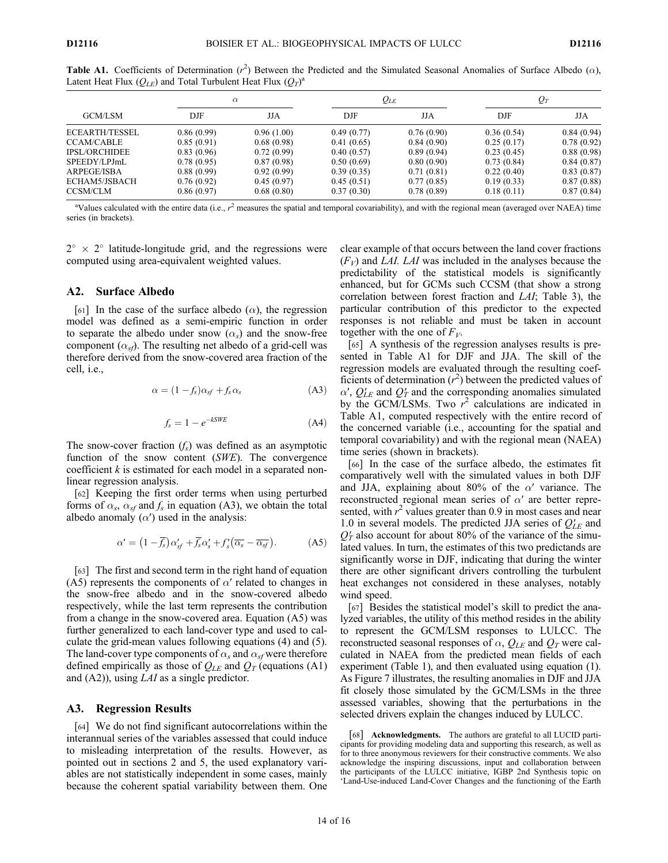|                       | $\alpha$   |            | $Q_{LE}$   |            | $Q_T$      |            |
|-----------------------|------------|------------|------------|------------|------------|------------|
| GCM/LSM               | DJF        | JJA        | DJF        | JJA        | DJF        | JJA        |
| <b>ECEARTH/TESSEL</b> | 0.86(0.99) | 0.96(1.00) | 0.49(0.77) | 0.76(0.90) | 0.36(0.54) | 0.84(0.94) |
| <b>CCAM/CABLE</b>     | 0.85(0.91) | 0.68(0.98) | 0.41(0.65) | 0.84(0.90) | 0.25(0.17) | 0.78(0.92) |
| <b>IPSL/ORCHIDEE</b>  | 0.83(0.96) | 0.72(0.99) | 0.40(0.57) | 0.89(0.94) | 0.23(0.45) | 0.88(0.98) |
| SPEEDY/LPJmL          | 0.78(0.95) | 0.87(0.98) | 0.50(0.69) | 0.80(0.90) | 0.73(0.84) | 0.84(0.87) |
| ARPEGE/ISBA           | 0.88(0.99) | 0.92(0.99) | 0.39(0.35) | 0.71(0.81) | 0.22(0.40) | 0.83(0.87) |
| ECHAM5/JSBACH         | 0.76(0.92) | 0.45(0.97) | 0.45(0.51) | 0.77(0.85) | 0.19(0.33) | 0.87(0.88) |
| CCSM/CLM              | 0.86(0.97) | 0.68(0.80) | 0.37(0.30) | 0.78(0.89) | 0.18(0.11) | 0.87(0.84) |

Table A1. Coefficients of Determination  $(r^2)$  Between the Predicted and the Simulated Seasonal Anomalies of Surface Albedo ( $\alpha$ ), Latent Heat Flux  $(Q_{LE})$  and Total Turbulent Heat Flux  $(Q_T)^a$ 

<sup>a</sup>Values calculated with the entire data (i.e.,  $r^2$  measures the spatial and temporal covariability), and with the regional mean (averaged over NAEA) time series (in brackets).

 $2^{\circ} \times 2^{\circ}$  latitude-longitude grid, and the regressions were computed using area-equivalent weighted values.

#### A2. Surface Albedo

[61] In the case of the surface albedo  $(\alpha)$ , the regression model was defined as a semi-empiric function in order to separate the albedo under snow  $(\alpha_s)$  and the snow-free component  $(\alpha_{sf})$ . The resulting net albedo of a grid-cell was therefore derived from the snow-covered area fraction of the cell, i.e.,

$$
\alpha = (1 - f_s)\alpha_{sf} + f_s \alpha_s \tag{A3}
$$

$$
f_s = 1 - e^{-kSWE} \tag{A4}
$$

The snow-cover fraction  $(f_s)$  was defined as an asymptotic function of the snow content (SWE). The convergence coefficient  $k$  is estimated for each model in a separated nonlinear regression analysis.

[62] Keeping the first order terms when using perturbed forms of  $\alpha_s$ ,  $\alpha_{sf}$  and  $f_s$  in equation (A3), we obtain the total albedo anomaly  $(\alpha')$  used in the analysis:

$$
\alpha' = \left(1 - \overline{f_s}\right)\alpha'_{sf} + \overline{f_s}\alpha'_s + f'_s\left(\overline{\alpha_s} - \overline{\alpha_{sf}}\right). \tag{A5}
$$

[63] The first and second term in the right hand of equation (A5) represents the components of  $\alpha'$  related to changes in the snow-free albedo and in the snow-covered albedo respectively, while the last term represents the contribution from a change in the snow-covered area. Equation (A5) was further generalized to each land-cover type and used to calculate the grid-mean values following equations (4) and (5). The land-cover type components of  $\alpha_s$  and  $\alpha_{sf}$  were therefore defined empirically as those of  $Q_{LE}$  and  $Q_T$  (equations (A1) and (A2)), using *LAI* as a single predictor.

## A3. Regression Results

[64] We do not find significant autocorrelations within the interannual series of the variables assessed that could induce to misleading interpretation of the results. However, as pointed out in sections 2 and 5, the used explanatory variables are not statistically independent in some cases, mainly because the coherent spatial variability between them. One clear example of that occurs between the land cover fractions  $(F_V)$  and LAI. LAI was included in the analyses because the predictability of the statistical models is significantly enhanced, but for GCMs such CCSM (that show a strong correlation between forest fraction and LAI; Table 3), the particular contribution of this predictor to the expected responses is not reliable and must be taken in account together with the one of  $F_V$ .

[65] A synthesis of the regression analyses results is presented in Table A1 for DJF and JJA. The skill of the regression models are evaluated through the resulting coefficients of determination  $(r^2)$  between the predicted values of  $\alpha'$ ,  $Q'_{LE}$  and  $Q'_T$  and the corresponding anomalies simulated by the GCM/LSMs. Two  $r^2$  calculations are indicated in Table A1, computed respectively with the entire record of the concerned variable (i.e., accounting for the spatial and temporal covariability) and with the regional mean (NAEA) time series (shown in brackets).

[66] In the case of the surface albedo, the estimates fit comparatively well with the simulated values in both DJF and JJA, explaining about 80% of the  $\alpha'$  variance. The reconstructed regional mean series of  $\alpha'$  are better represented, with  $r^2$  values greater than 0.9 in most cases and near 1.0 in several models. The predicted JJA series of  $Q'_{LE}$  and  $Q_T$  also account for about 80% of the variance of the simulated values. In turn, the estimates of this two predictands are significantly worse in DJF, indicating that during the winter there are other significant drivers controlling the turbulent heat exchanges not considered in these analyses, notably wind speed.

[67] Besides the statistical model's skill to predict the analyzed variables, the utility of this method resides in the ability to represent the GCM/LSM responses to LULCC. The reconstructed seasonal responses of  $\alpha$ ,  $Q_{LE}$  and  $Q_T$  were calculated in NAEA from the predicted mean fields of each experiment (Table 1), and then evaluated using equation (1). As Figure 7 illustrates, the resulting anomalies in DJF and JJA fit closely those simulated by the GCM/LSMs in the three assessed variables, showing that the perturbations in the selected drivers explain the changes induced by LULCC.

[68] Acknowledgments. The authors are grateful to all LUCID participants for providing modeling data and supporting this research, as well as for to three anonymous reviewers for their constructive comments. We also acknowledge the inspiring discussions, input and collaboration between the participants of the LULCC initiative, IGBP 2nd Synthesis topic on 'Land-Use-induced Land-Cover Changes and the functioning of the Earth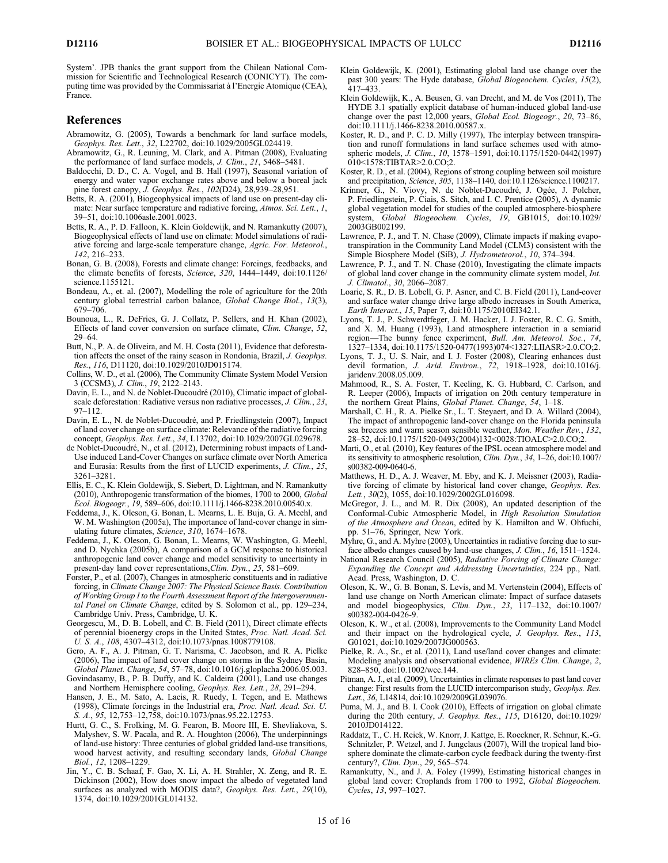System'. JPB thanks the grant support from the Chilean National Commission for Scientific and Technological Research (CONICYT). The computing time was provided by the Commissariat à l'Energie Atomique (CEA), France.

#### References

- Abramowitz, G. (2005), Towards a benchmark for land surface models, Geophys. Res. Lett., 32, L22702, doi:10.1029/2005GL024419.
- Abramowitz, G., R. Leuning, M. Clark, and A. Pitman (2008), Evaluating the performance of land surface models, J. Clim., 21, 5468–5481.
- Baldocchi, D. D., C. A. Vogel, and B. Hall (1997), Seasonal variation of energy and water vapor exchange rates above and below a boreal jack pine forest canopy, J. Geophys. Res., 102(D24), 28,939–28,951.
- Betts, R. A. (2001), Biogeophysical impacts of land use on present-day climate: Near surface temperature and radiative forcing, Atmos. Sci. Lett., 1, 39–51, doi:10.1006asle.2001.0023.
- Betts, R. A., P. D. Falloon, K. Klein Goldewijk, and N. Ramankutty (2007), Biogeophysical effects of land use on climate: Model simulations of radiative forcing and large-scale temperature change, Agric. For. Meteorol., 142, 216–233.
- Bonan, G. B. (2008), Forests and climate change: Forcings, feedbacks, and the climate benefits of forests, Science, 320, 1444-1449, doi:10.1126/ science.1155121.
- Bondeau, A., et. al. (2007), Modelling the role of agriculture for the 20th century global terrestrial carbon balance, Global Change Biol., 13(3), 679–706.
- Bounoua, L., R. DeFries, G. J. Collatz, P. Sellers, and H. Khan (2002), Effects of land cover conversion on surface climate, Clim. Change, 52, 29–64.
- Butt, N., P. A. de Oliveira, and M. H. Costa (2011), Evidence that deforestation affects the onset of the rainy season in Rondonia, Brazil, J. Geophys. Res., 116, D11120, doi:10.1029/2010JD015174.
- Collins, W. D., et al. (2006), The Community Climate System Model Version 3 (CCSM3), J. Clim., 19, 2122–2143.
- Davin, E. L., and N. de Noblet-Ducoudré (2010), Climatic impact of globalscale deforestation: Radiative versus non radiative processes, J. Clim., 23, 97–112.
- Davin, E. L., N. de Noblet-Ducoudré, and P. Friedlingstein (2007), Impact of land cover change on surface climate: Relevance of the radiative forcing concept, Geophys. Res. Lett., 34, L13702, doi:10.1029/2007GL029678.
- de Noblet-Ducoudré, N., et al. (2012), Determining robust impacts of Land-Use induced Land-Cover Changes on surface climate over North America and Eurasia: Results from the first of LUCID experiments, J. Clim., 25, 3261–3281.
- Ellis, E. C., K. Klein Goldewijk, S. Siebert, D. Lightman, and N. Ramankutty (2010), Anthropogenic transformation of the biomes, 1700 to 2000, Global Ecol. Biogeogr., 19, 589–606, doi:10.1111/j.1466-8238.2010.00540.x.
- Feddema, J., K. Oleson, G. Bonan, L. Mearns, L. E. Buja, G. A. Meehl, and W. M. Washington (2005a), The importance of land-cover change in simulating future climates, Science, 310, 1674–1678.
- Feddema, J., K. Oleson, G. Bonan, L. Mearns, W. Washington, G. Meehl, and D. Nychka (2005b), A comparison of a GCM response to historical anthropogenic land cover change and model sensitivity to uncertainty in present-day land cover representations,Clim. Dyn., 25, 581–609.
- Forster, P., et al. (2007), Changes in atmospheric constituents and in radiative forcing, in Climate Change 2007: The Physical Science Basis. Contribution of Working Group I to the Fourth Assessment Report of the Intergovernmental Panel on Climate Change, edited by S. Solomon et al., pp. 129–234, Cambridge Univ. Press, Cambridge, U. K.
- Georgescu, M., D. B. Lobell, and C. B. Field (2011), Direct climate effects of perennial bioenergy crops in the United States, Proc. Natl. Acad. Sci. U. S. A., 108, 4307–4312, doi:10.1073/pnas.1008779108.
- Gero, A. F., A. J. Pitman, G. T. Narisma, C. Jacobson, and R. A. Pielke (2006), The impact of land cover change on storms in the Sydney Basin, Global Planet. Change, 54, 57–78, doi:10.1016/j.gloplacha.2006.05.003.
- Govindasamy, B., P. B. Duffy, and K. Caldeira (2001), Land use changes and Northern Hemisphere cooling, Geophys. Res. Lett., 28, 291–294.
- Hansen, J. E., M. Sato, A. Lacis, R. Ruedy, I. Tegen, and E. Mathews (1998), Climate forcings in the Industrial era, Proc. Natl. Acad. Sci. U. S. A., 95, 12,753–12,758, doi:10.1073/pnas.95.22.12753.
- Hurtt, G. C., S. Frolking, M. G. Fearon, B. Moore III, E. Shevliakova, S. Malyshev, S. W. Pacala, and R. A. Houghton (2006), The underpinnings of land-use history: Three centuries of global gridded land-use transitions, wood harvest activity, and resulting secondary lands, Global Change Biol., 12, 1208–1229.
- Jin, Y., C. B. Schaaf, F. Gao, X. Li, A. H. Strahler, X. Zeng, and R. E. Dickinson (2002), How does snow impact the albedo of vegetated land surfaces as analyzed with MODIS data?, Geophys. Res. Lett., 29(10), 1374, doi:10.1029/2001GL014132.
- Klein Goldewijk, K. (2001), Estimating global land use change over the past 300 years: The Hyde database, Global Biogeochem. Cycles, 15(2), 417–433.
- Klein Goldewijk, K., A. Beusen, G. van Drecht, and M. de Vos (2011), The HYDE 3.1 spatially explicit database of human-induced global land-use change over the past 12,000 years, Global Ecol. Biogeogr., 20, 73–86, doi:10.1111/j.1466-8238.2010.00587.x.
- Koster, R. D., and P. C. D. Milly (1997), The interplay between transpiration and runoff formulations in land surface schemes used with atmospheric models, *J. Clim.*, 10, 1578–1591, doi:10.1175/1520-0442(1997) 010<1578:TIBTAR>2.0.CO;2.
- Koster, R. D., et al. (2004), Regions of strong coupling between soil moisture and precipitation, Science, 305, 1138–1140, doi:10.1126/science.1100217.
- Krinner, G., N. Viovy, N. de Noblet-Ducoudré, J. Ogée, J. Polcher, P. Friedlingstein, P. Ciais, S. Sitch, and I. C. Prentice (2005), A dynamic global vegetation model for studies of the coupled atmosphere-biosphere system, Global Biogeochem. Cycles, 19, GB1015, doi:10.1029/ 2003GB002199.
- Lawrence, P. J., and T. N. Chase (2009), Climate impacts if making evapotranspiration in the Community Land Model (CLM3) consistent with the Simple Biosphere Model (SiB), J. Hydrometeorol., 10, 374–394.
- Lawrence, P. J., and T. N. Chase (2010), Investigating the climate impacts of global land cover change in the community climate system model, Int. J. Climatol., 30, 2066–2087.
- Loarie, S. R., D. B. Lobell, G. P. Asner, and C. B. Field (2011), Land-cover and surface water change drive large albedo increases in South America, Earth Interact., 15, Paper 7, doi:10.1175/2010EI342.1.
- Lyons, T. J., P. Schwerdtfeger, J. M. Hacker, I. J. Foster, R. C. G. Smith, and X. M. Huang (1993), Land atmosphere interaction in a semiarid region—The bunny fence experiment, Bull. Am. Meteorol. Soc., 74, 1327–1334, doi:10.1175/1520-0477(1993)074<1327:LIIASR>2.0.CO;2.
- Lyons, T. J., U. S. Nair, and I. J. Foster (2008), Clearing enhances dust devil formation, J. Arid. Environ., 72, 1918–1928, doi:10.1016/j. jaridenv.2008.05.009.
- Mahmood, R., S. A. Foster, T. Keeling, K. G. Hubbard, C. Carlson, and R. Leeper (2006), Impacts of irrigation on 20th century temperature in the northern Great Plains, Global Planet. Change, 54, 1-18.
- Marshall, C. H., R. A. Pielke Sr., L. T. Steyaert, and D. A. Willard (2004), The impact of anthropogenic land-cover change on the Florida peninsula sea breezes and warm season sensible weather, Mon. Weather Rev., 132, 28–52, doi:10.1175/1520-0493(2004)132<0028:TIOALC>2.0.CO;2.
- Marti, O., et al. (2010), Key features of the IPSL ocean atmosphere model and its sensitivity to atmospheric resolution, *Clim. Dyn.*,  $34$ ,  $1-26$ , doi:10.1007/ s00382-009-0640-6.
- Matthews, H. D., A. J. Weaver, M. Eby, and K. J. Meissner (2003), Radiative forcing of climate by historical land cover change, Geophys. Res. Lett., 30(2), 1055, doi:10.1029/2002GL016098.
- McGregor, J. L., and M. R. Dix (2008), An updated description of the Conformal-Cubic Atmospheric Model, in High Resolution Simulation of the Atmosphere and Ocean, edited by K. Hamilton and W. Ohfuchi, pp. 51–76, Springer, New York.
- Myhre, G., and A. Myhre (2003), Uncertainties in radiative forcing due to surface albedo changes caused by land-use changes, J. Clim., 16, 1511-1524.
- National Research Council (2005), Radiative Forcing of Climate Change: Expanding the Concept and Addressing Uncertainties, 224 pp., Natl. Acad. Press, Washington, D. C.
- Oleson, K. W., G. B. Bonan, S. Levis, and M. Vertenstein (2004), Effects of land use change on North American climate: Impact of surface datasets and model biogeophysics, Clim. Dyn., 23, 117–132, doi:10.1007/ s00382-004-0426-9.
- Oleson, K. W., et al. (2008), Improvements to the Community Land Model and their impact on the hydrological cycle, J. Geophys. Res., 113, G01021, doi:10.1029/2007JG000563.
- Pielke, R. A., Sr., et al. (2011), Land use/land cover changes and climate: Modeling analysis and observational evidence, WIREs Clim. Change, 2, 828–850, doi:10.1002/wcc.144.
- Pitman, A. J., et al. (2009), Uncertainties in climate responses to past land cover change: First results from the LUCID intercomparison study, Geophys. Res. Lett., 36, L14814, doi:10.1029/2009GL039076.
- Puma, M. J., and B. I. Cook (2010), Effects of irrigation on global climate during the 20th century, J. Geophys. Res., 115, D16120, doi:10.1029/ 2010JD014122.
- Raddatz, T., C. H. Reick, W. Knorr, J. Kattge, E. Roeckner, R. Schnur, K.-G. Schnitzler, P. Wetzel, and J. Jungclaus (2007), Will the tropical land biosphere dominate the climate-carbon cycle feedback during the twenty-first century?, Clim. Dyn., 29, 565–574.
- Ramankutty, N., and J. A. Foley (1999), Estimating historical changes in global land cover: Croplands from 1700 to 1992, Global Biogeochem. Cycles, 13, 997–1027.